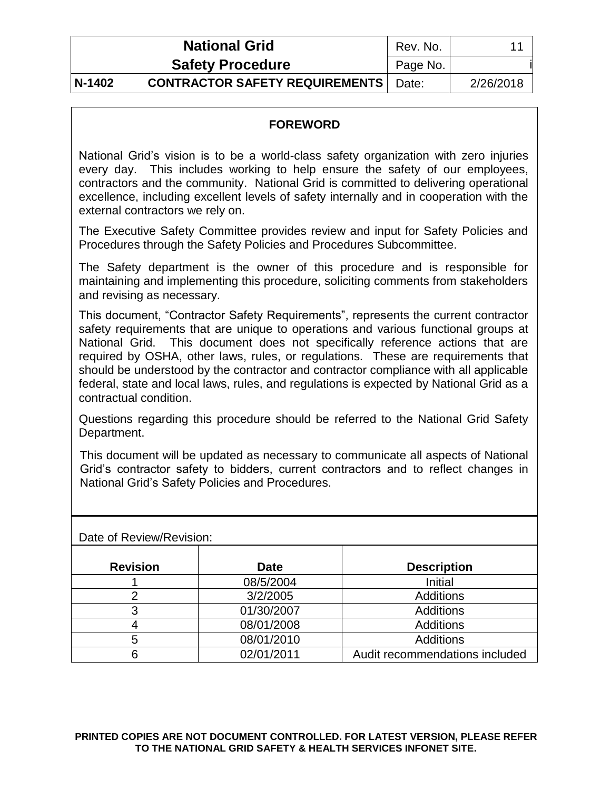| <b>National Grid</b>                                  | Rev. No. | 11        |
|-------------------------------------------------------|----------|-----------|
| <b>Safety Procedure</b>                               | Page No. |           |
| <b>CONTRACTOR SAFETY REQUIREMENTS</b> Date:<br>N-1402 |          | 2/26/2018 |

# **FOREWORD**

National Grid's vision is to be a world-class safety organization with zero injuries every day. This includes working to help ensure the safety of our employees, contractors and the community. National Grid is committed to delivering operational excellence, including excellent levels of safety internally and in cooperation with the external contractors we rely on.

The Executive Safety Committee provides review and input for Safety Policies and Procedures through the Safety Policies and Procedures Subcommittee.

The Safety department is the owner of this procedure and is responsible for maintaining and implementing this procedure, soliciting comments from stakeholders and revising as necessary.

This document, "Contractor Safety Requirements", represents the current contractor safety requirements that are unique to operations and various functional groups at National Grid. This document does not specifically reference actions that are required by OSHA, other laws, rules, or regulations. These are requirements that should be understood by the contractor and contractor compliance with all applicable federal, state and local laws, rules, and regulations is expected by National Grid as a contractual condition.

Questions regarding this procedure should be referred to the National Grid Safety Department.

This document will be updated as necessary to communicate all aspects of National Grid's contractor safety to bidders, current contractors and to reflect changes in National Grid's Safety Policies and Procedures.

| <b>Revision</b> | <b>Date</b> | <b>Description</b>             |
|-----------------|-------------|--------------------------------|
|                 | 08/5/2004   | Initial                        |
|                 | 3/2/2005    | <b>Additions</b>               |
|                 | 01/30/2007  | <b>Additions</b>               |
|                 | 08/01/2008  | <b>Additions</b>               |
| 5               | 08/01/2010  | <b>Additions</b>               |
|                 | 02/01/2011  | Audit recommendations included |

Date of Review/Revision: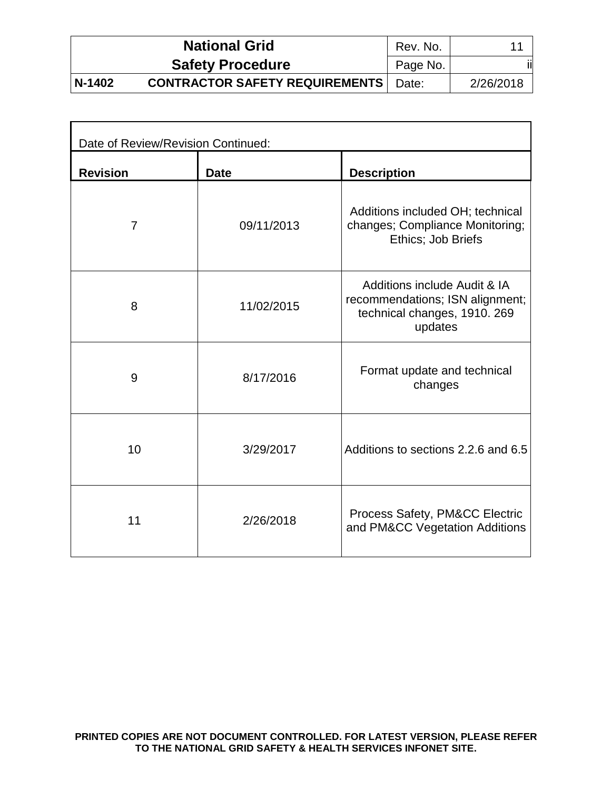|        | <b>National Grid</b>                  | Rev. No. | 11        |
|--------|---------------------------------------|----------|-----------|
|        | <b>Safety Procedure</b>               | Page No. |           |
| N-1402 | <b>CONTRACTOR SAFETY REQUIREMENTS</b> | Date:    | 2/26/2018 |

| Date of Review/Revision Continued: |             |                                                                                                            |  |  |
|------------------------------------|-------------|------------------------------------------------------------------------------------------------------------|--|--|
| <b>Revision</b>                    | <b>Date</b> | <b>Description</b>                                                                                         |  |  |
| $\overline{7}$                     | 09/11/2013  | Additions included OH; technical<br>changes; Compliance Monitoring;<br>Ethics; Job Briefs                  |  |  |
| 8                                  | 11/02/2015  | Additions include Audit & IA<br>recommendations; ISN alignment;<br>technical changes, 1910. 269<br>updates |  |  |
| 9                                  | 8/17/2016   | Format update and technical<br>changes                                                                     |  |  |
| 10                                 | 3/29/2017   | Additions to sections 2.2.6 and 6.5                                                                        |  |  |
| 11                                 | 2/26/2018   | Process Safety, PM&CC Electric<br>and PM&CC Vegetation Additions                                           |  |  |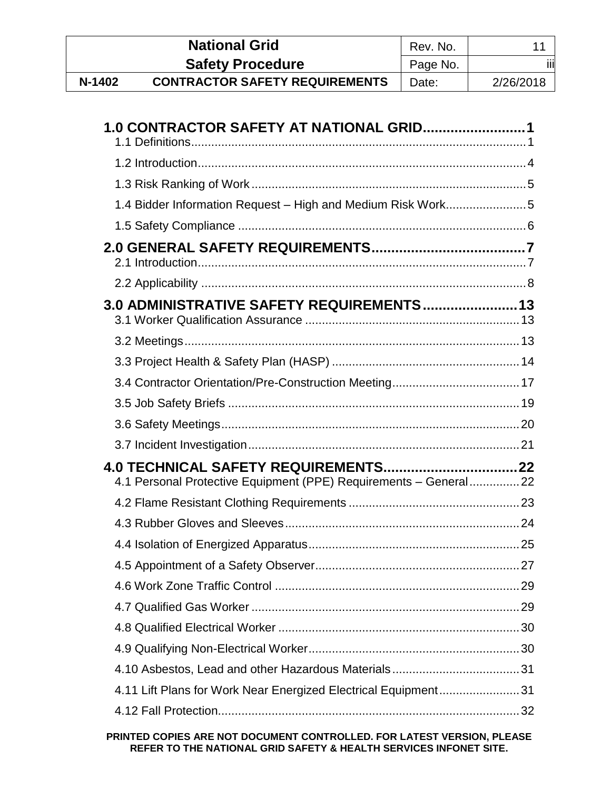|        | <b>National Grid</b>                  | Rev. No. |           |
|--------|---------------------------------------|----------|-----------|
|        | <b>Safety Procedure</b>               | Page No. | iii       |
| N-1402 | <b>CONTRACTOR SAFETY REQUIREMENTS</b> | Date:    | 2/26/2018 |

| 1.0 CONTRACTOR SAFETY AT NATIONAL GRID1                          |
|------------------------------------------------------------------|
|                                                                  |
|                                                                  |
|                                                                  |
|                                                                  |
|                                                                  |
|                                                                  |
| 3.0 ADMINISTRATIVE SAFETY REQUIREMENTS 13                        |
|                                                                  |
|                                                                  |
|                                                                  |
|                                                                  |
|                                                                  |
|                                                                  |
| 4.1 Personal Protective Equipment (PPE) Requirements - General22 |
|                                                                  |
|                                                                  |
|                                                                  |
|                                                                  |
|                                                                  |
|                                                                  |
|                                                                  |
|                                                                  |
|                                                                  |
| 4.11 Lift Plans for Work Near Energized Electrical Equipment31   |
|                                                                  |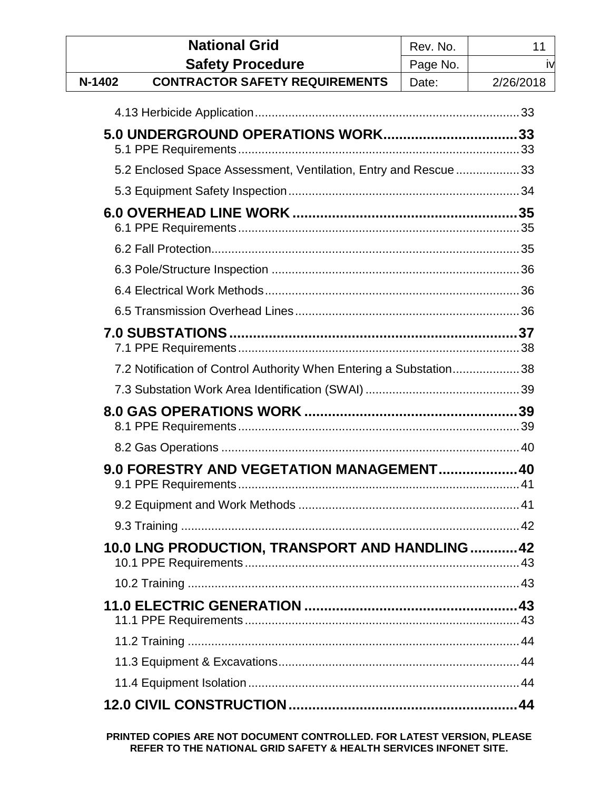|        | <b>National Grid</b>                                               | Rev. No. | 11        |
|--------|--------------------------------------------------------------------|----------|-----------|
|        | <b>Safety Procedure</b>                                            | Page No. | iv        |
| N-1402 | <b>CONTRACTOR SAFETY REQUIREMENTS</b>                              | Date:    | 2/26/2018 |
|        |                                                                    |          |           |
|        |                                                                    |          |           |
|        | 5.2 Enclosed Space Assessment, Ventilation, Entry and Rescue 33    |          |           |
|        |                                                                    |          |           |
|        |                                                                    |          |           |
|        |                                                                    |          |           |
|        |                                                                    |          |           |
|        |                                                                    |          |           |
|        |                                                                    |          |           |
|        |                                                                    |          |           |
|        | 7.2 Notification of Control Authority When Entering a Substation38 |          |           |
|        |                                                                    |          |           |
|        |                                                                    |          |           |
|        |                                                                    |          |           |
|        | 9.0 FORESTRY AND VEGETATION MANAGEMENT 40                          |          |           |
|        |                                                                    |          |           |
|        |                                                                    |          |           |
|        | 10.0 LNG PRODUCTION, TRANSPORT AND HANDLING  42                    |          |           |
|        |                                                                    |          |           |
|        |                                                                    |          |           |
|        |                                                                    |          |           |
|        |                                                                    |          |           |
|        |                                                                    |          |           |
|        |                                                                    |          |           |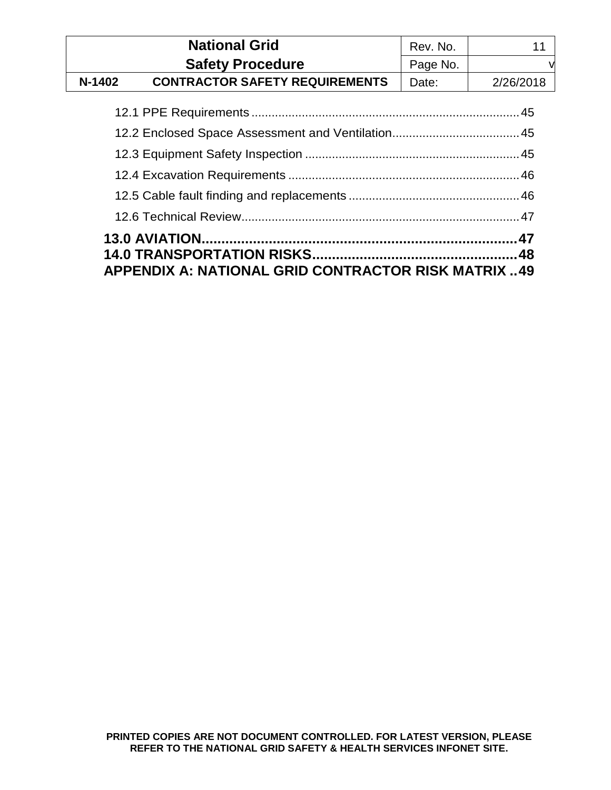|          | <b>National Grid</b>                  | Rev. No. |           |
|----------|---------------------------------------|----------|-----------|
|          | <b>Safety Procedure</b>               | Page No. |           |
| $N-1402$ | <b>CONTRACTOR SAFETY REQUIREMENTS</b> | Date:    | 2/26/2018 |

| <b>APPENDIX A: NATIONAL GRID CONTRACTOR RISK MATRIX 49</b> |  |
|------------------------------------------------------------|--|
|                                                            |  |
|                                                            |  |
|                                                            |  |
|                                                            |  |
|                                                            |  |
|                                                            |  |
|                                                            |  |
|                                                            |  |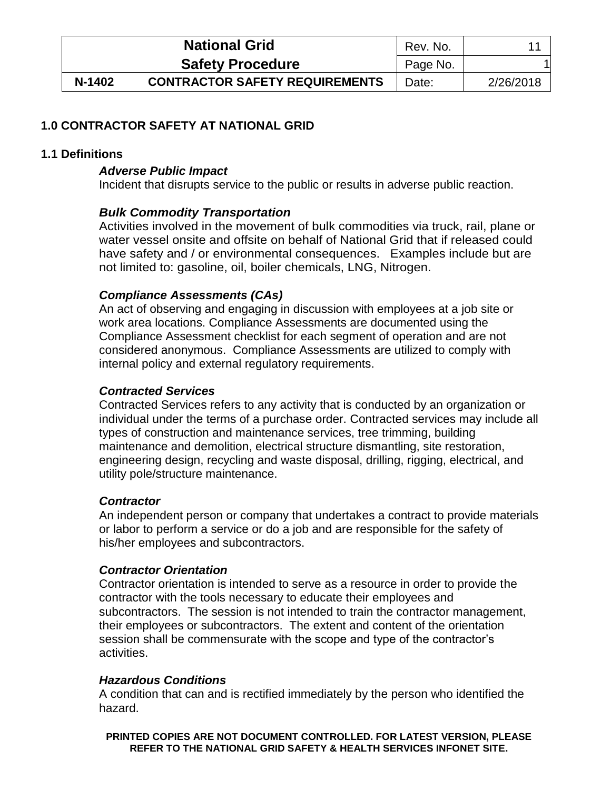|        | <b>National Grid</b>                  | Rev. No. |           |
|--------|---------------------------------------|----------|-----------|
|        | <b>Safety Procedure</b>               | Page No. |           |
| N-1402 | <b>CONTRACTOR SAFETY REQUIREMENTS</b> | Date:    | 2/26/2018 |

# <span id="page-5-0"></span>**1.0 CONTRACTOR SAFETY AT NATIONAL GRID**

### <span id="page-5-1"></span>**1.1 Definitions**

### *Adverse Public Impact*

Incident that disrupts service to the public or results in adverse public reaction.

### *Bulk Commodity Transportation*

Activities involved in the movement of bulk commodities via truck, rail, plane or water vessel onsite and offsite on behalf of National Grid that if released could have safety and / or environmental consequences. Examples include but are not limited to: gasoline, oil, boiler chemicals, LNG, Nitrogen.

### *Compliance Assessments (CAs)*

An act of observing and engaging in discussion with employees at a job site or work area locations. Compliance Assessments are documented using the Compliance Assessment checklist for each segment of operation and are not considered anonymous. Compliance Assessments are utilized to comply with internal policy and external regulatory requirements.

### *Contracted Services*

Contracted Services refers to any activity that is conducted by an organization or individual under the terms of a purchase order. Contracted services may include all types of construction and maintenance services, tree trimming, building maintenance and demolition, electrical structure dismantling, site restoration, engineering design, recycling and waste disposal, drilling, rigging, electrical, and utility pole/structure maintenance.

### *Contractor*

An independent person or company that undertakes a contract to provide materials or labor to perform a service or do a job and are responsible for the safety of his/her employees and subcontractors.

### *Contractor Orientation*

Contractor orientation is intended to serve as a resource in order to provide the contractor with the tools necessary to educate their employees and subcontractors. The session is not intended to train the contractor management, their employees or subcontractors. The extent and content of the orientation session shall be commensurate with the scope and type of the contractor's activities.

### *Hazardous Conditions*

A condition that can and is rectified immediately by the person who identified the hazard.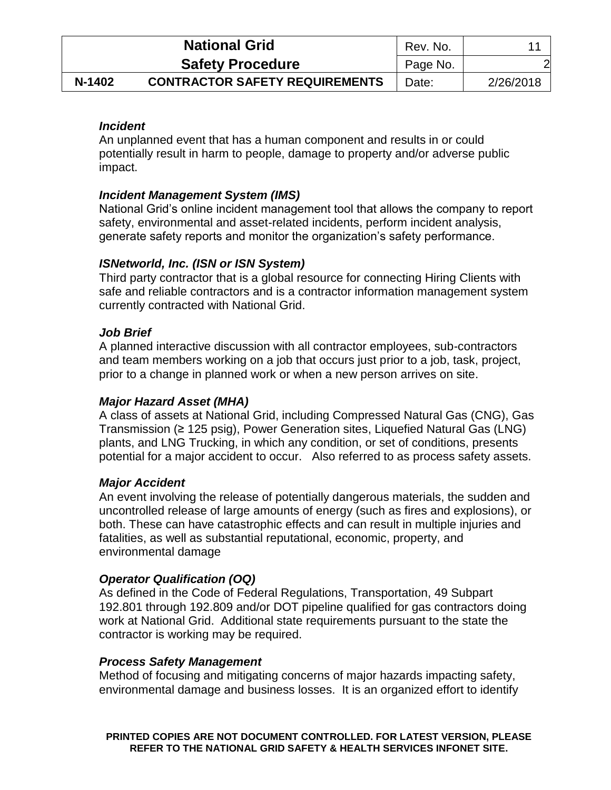|        | <b>National Grid</b>                  | Rev. No. |           |
|--------|---------------------------------------|----------|-----------|
|        | <b>Safety Procedure</b>               | Page No. |           |
| N-1402 | <b>CONTRACTOR SAFETY REQUIREMENTS</b> | Date:    | 2/26/2018 |

# *Incident*

An unplanned event that has a human component and results in or could potentially result in harm to people, damage to property and/or adverse public impact.

## *Incident Management System (IMS)*

National Grid's online incident management tool that allows the company to report safety, environmental and asset-related incidents, perform incident analysis, generate safety reports and monitor the organization's safety performance.

# *ISNetworld, Inc. (ISN or ISN System)*

Third party contractor that is a global resource for connecting Hiring Clients with safe and reliable contractors and is a contractor information management system currently contracted with National Grid.

### *Job Brief*

A planned interactive discussion with all contractor employees, sub-contractors and team members working on a job that occurs just prior to a job, task, project, prior to a change in planned work or when a new person arrives on site.

## *Major Hazard Asset (MHA)*

A class of assets at National Grid, including Compressed Natural Gas (CNG), Gas Transmission (≥ 125 psig), Power Generation sites, Liquefied Natural Gas (LNG) plants, and LNG Trucking, in which any condition, or set of conditions, presents potential for a major accident to occur. Also referred to as process safety assets.

### *Major Accident*

An event involving the release of potentially dangerous materials, the sudden and uncontrolled release of large amounts of energy (such as fires and explosions), or both. These can have catastrophic effects and can result in multiple injuries and fatalities, as well as substantial reputational, economic, property, and environmental damage

# *Operator Qualification (OQ)*

As defined in the Code of Federal Regulations, Transportation, 49 Subpart 192.801 through 192.809 and/or DOT pipeline qualified for gas contractors doing work at National Grid. Additional state requirements pursuant to the state the contractor is working may be required.

### *Process Safety Management*

Method of focusing and mitigating concerns of major hazards impacting safety, environmental damage and business losses. It is an organized effort to identify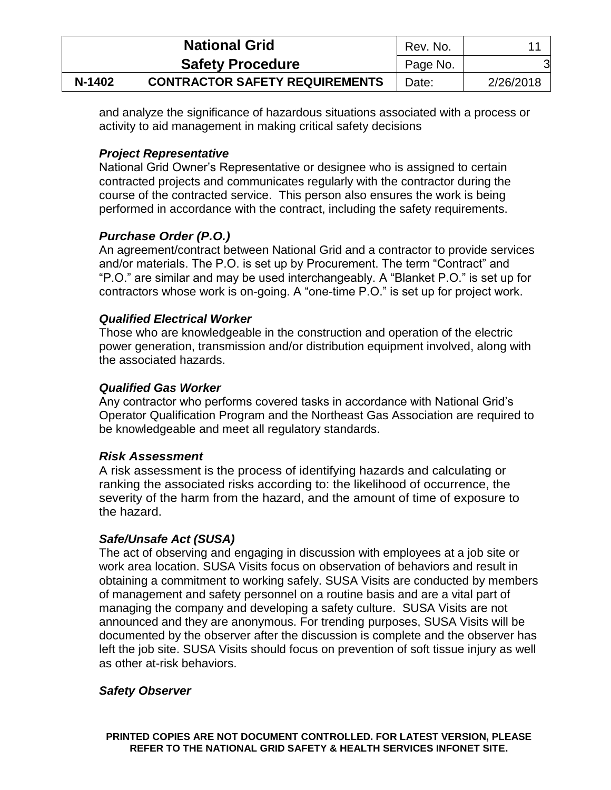|        | <b>National Grid</b>                  | Rev. No. |           |
|--------|---------------------------------------|----------|-----------|
|        | <b>Safety Procedure</b>               | Page No. | 3         |
| N-1402 | <b>CONTRACTOR SAFETY REQUIREMENTS</b> | Date:    | 2/26/2018 |

and analyze the significance of hazardous situations associated with a process or activity to aid management in making critical safety decisions

# *Project Representative*

National Grid Owner's Representative or designee who is assigned to certain contracted projects and communicates regularly with the contractor during the course of the contracted service. This person also ensures the work is being performed in accordance with the contract, including the safety requirements.

# *Purchase Order (P.O.)*

An agreement/contract between National Grid and a contractor to provide services and/or materials. The P.O. is set up by Procurement. The term "Contract" and "P.O." are similar and may be used interchangeably. A "Blanket P.O." is set up for contractors whose work is on-going. A "one-time P.O." is set up for project work.

### *Qualified Electrical Worker*

Those who are knowledgeable in the construction and operation of the electric power generation, transmission and/or distribution equipment involved, along with the associated hazards.

### *Qualified Gas Worker*

Any contractor who performs covered tasks in accordance with National Grid's Operator Qualification Program and the Northeast Gas Association are required to be knowledgeable and meet all regulatory standards.

### *Risk Assessment*

A risk assessment is the process of identifying hazards and calculating or ranking the associated risks according to: the likelihood of occurrence, the severity of the harm from the hazard, and the amount of time of exposure to the hazard.

# *Safe/Unsafe Act (SUSA)*

The act of observing and engaging in discussion with employees at a job site or work area location. SUSA Visits focus on observation of behaviors and result in obtaining a commitment to working safely. SUSA Visits are conducted by members of management and safety personnel on a routine basis and are a vital part of managing the company and developing a safety culture. SUSA Visits are not announced and they are anonymous. For trending purposes, SUSA Visits will be documented by the observer after the discussion is complete and the observer has left the job site. SUSA Visits should focus on prevention of soft tissue injury as well as other at-risk behaviors.

### *Safety Observer*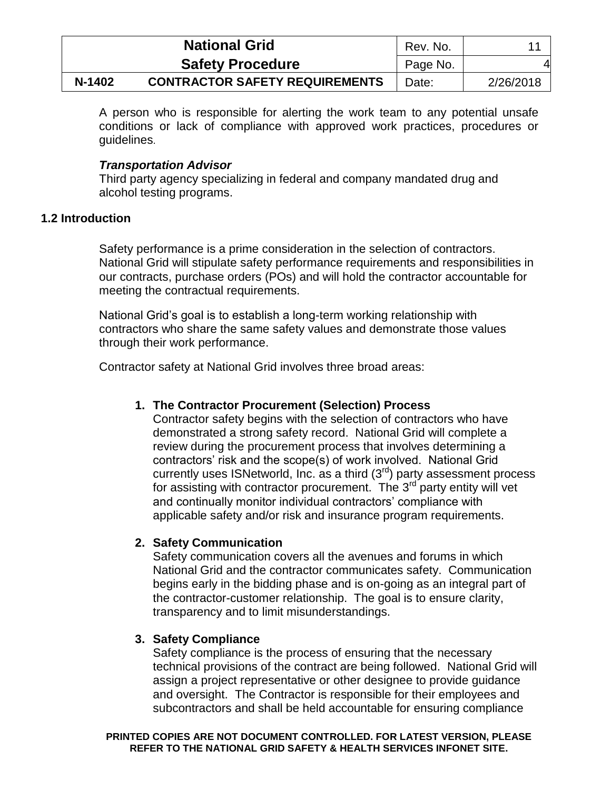|        | <b>National Grid</b>                  |          |           |
|--------|---------------------------------------|----------|-----------|
|        | <b>Safety Procedure</b>               | Page No. | 4         |
| N-1402 | <b>CONTRACTOR SAFETY REQUIREMENTS</b> | Date:    | 2/26/2018 |

A person who is responsible for alerting the work team to any potential unsafe conditions or lack of compliance with approved work practices, procedures or guidelines.

## *Transportation Advisor*

Third party agency specializing in federal and company mandated drug and alcohol testing programs.

# <span id="page-8-0"></span>**1.2 Introduction**

Safety performance is a prime consideration in the selection of contractors. National Grid will stipulate safety performance requirements and responsibilities in our contracts, purchase orders (POs) and will hold the contractor accountable for meeting the contractual requirements.

National Grid's goal is to establish a long-term working relationship with contractors who share the same safety values and demonstrate those values through their work performance.

Contractor safety at National Grid involves three broad areas:

# **1. The Contractor Procurement (Selection) Process**

Contractor safety begins with the selection of contractors who have demonstrated a strong safety record. National Grid will complete a review during the procurement process that involves determining a contractors' risk and the scope(s) of work involved. National Grid currently uses ISNetworld, Inc. as a third  $(3<sup>rd</sup>)$  party assessment process for assisting with contractor procurement. The 3<sup>rd</sup> party entity will vet and continually monitor individual contractors' compliance with applicable safety and/or risk and insurance program requirements.

# **2. Safety Communication**

Safety communication covers all the avenues and forums in which National Grid and the contractor communicates safety. Communication begins early in the bidding phase and is on-going as an integral part of the contractor-customer relationship. The goal is to ensure clarity, transparency and to limit misunderstandings.

### **3. Safety Compliance**

Safety compliance is the process of ensuring that the necessary technical provisions of the contract are being followed. National Grid will assign a project representative or other designee to provide guidance and oversight. The Contractor is responsible for their employees and subcontractors and shall be held accountable for ensuring compliance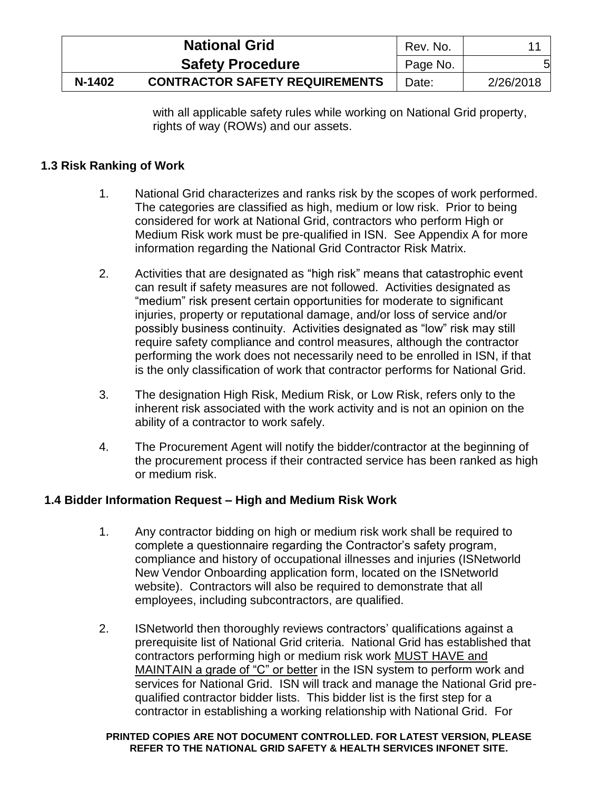|        | <b>National Grid</b>                  |          |           |
|--------|---------------------------------------|----------|-----------|
|        | <b>Safety Procedure</b>               | Page No. | 5         |
| N-1402 | <b>CONTRACTOR SAFETY REQUIREMENTS</b> | Date:    | 2/26/2018 |

with all applicable safety rules while working on National Grid property, rights of way (ROWs) and our assets.

# <span id="page-9-0"></span>**1.3 Risk Ranking of Work**

- 1. National Grid characterizes and ranks risk by the scopes of work performed. The categories are classified as high, medium or low risk. Prior to being considered for work at National Grid, contractors who perform High or Medium Risk work must be pre-qualified in ISN. See Appendix A for more information regarding the National Grid Contractor Risk Matrix.
- 2. Activities that are designated as "high risk" means that catastrophic event can result if safety measures are not followed. Activities designated as "medium" risk present certain opportunities for moderate to significant injuries, property or reputational damage, and/or loss of service and/or possibly business continuity. Activities designated as "low" risk may still require safety compliance and control measures, although the contractor performing the work does not necessarily need to be enrolled in ISN, if that is the only classification of work that contractor performs for National Grid.
- 3. The designation High Risk, Medium Risk, or Low Risk, refers only to the inherent risk associated with the work activity and is not an opinion on the ability of a contractor to work safely.
- 4. The Procurement Agent will notify the bidder/contractor at the beginning of the procurement process if their contracted service has been ranked as high or medium risk.

### <span id="page-9-1"></span>**1.4 Bidder Information Request – High and Medium Risk Work**

- 1. Any contractor bidding on high or medium risk work shall be required to complete a questionnaire regarding the Contractor's safety program, compliance and history of occupational illnesses and injuries (ISNetworld New Vendor Onboarding application form, located on the ISNetworld website). Contractors will also be required to demonstrate that all employees, including subcontractors, are qualified.
- 2. ISNetworld then thoroughly reviews contractors' qualifications against a prerequisite list of National Grid criteria. National Grid has established that contractors performing high or medium risk work MUST HAVE and MAINTAIN a grade of "C" or better in the ISN system to perform work and services for National Grid. ISN will track and manage the National Grid prequalified contractor bidder lists. This bidder list is the first step for a contractor in establishing a working relationship with National Grid. For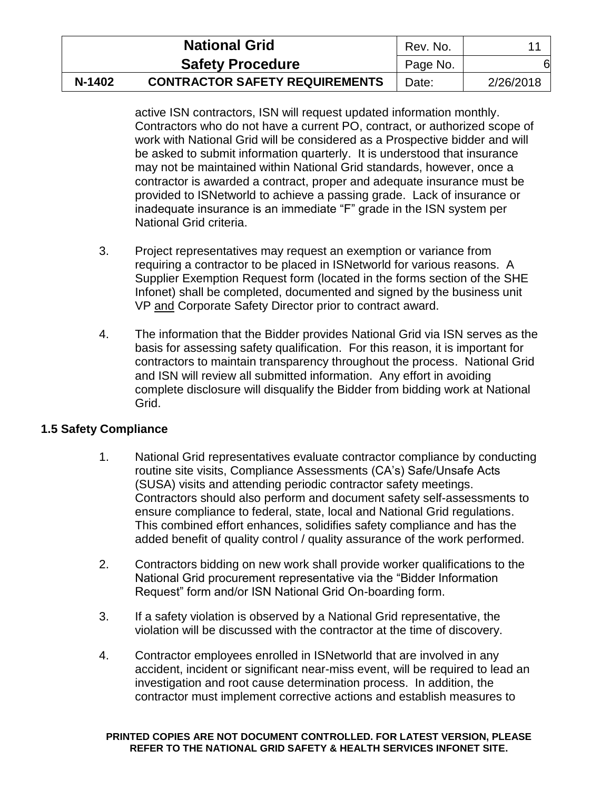|        | <b>National Grid</b>                  | Rev. No. |           |
|--------|---------------------------------------|----------|-----------|
|        | <b>Safety Procedure</b>               | Page No. | 61        |
| N-1402 | <b>CONTRACTOR SAFETY REQUIREMENTS</b> | Date:    | 2/26/2018 |

active ISN contractors, ISN will request updated information monthly. Contractors who do not have a current PO, contract, or authorized scope of work with National Grid will be considered as a Prospective bidder and will be asked to submit information quarterly. It is understood that insurance may not be maintained within National Grid standards, however, once a contractor is awarded a contract, proper and adequate insurance must be provided to ISNetworld to achieve a passing grade. Lack of insurance or inadequate insurance is an immediate "F" grade in the ISN system per National Grid criteria.

- 3. Project representatives may request an exemption or variance from requiring a contractor to be placed in ISNetworld for various reasons. A Supplier Exemption Request form (located in the forms section of the SHE Infonet) shall be completed, documented and signed by the business unit VP and Corporate Safety Director prior to contract award.
- 4. The information that the Bidder provides National Grid via ISN serves as the basis for assessing safety qualification. For this reason, it is important for contractors to maintain transparency throughout the process. National Grid and ISN will review all submitted information. Any effort in avoiding complete disclosure will disqualify the Bidder from bidding work at National Grid.

# <span id="page-10-0"></span>**1.5 Safety Compliance**

- 1. National Grid representatives evaluate contractor compliance by conducting routine site visits, Compliance Assessments (CA's) Safe/Unsafe Acts (SUSA) visits and attending periodic contractor safety meetings. Contractors should also perform and document safety self-assessments to ensure compliance to federal, state, local and National Grid regulations. This combined effort enhances, solidifies safety compliance and has the added benefit of quality control / quality assurance of the work performed.
- 2. Contractors bidding on new work shall provide worker qualifications to the National Grid procurement representative via the "Bidder Information Request" form and/or ISN National Grid On-boarding form.
- 3. If a safety violation is observed by a National Grid representative, the violation will be discussed with the contractor at the time of discovery.
- 4. Contractor employees enrolled in ISNetworld that are involved in any accident, incident or significant near-miss event, will be required to lead an investigation and root cause determination process. In addition, the contractor must implement corrective actions and establish measures to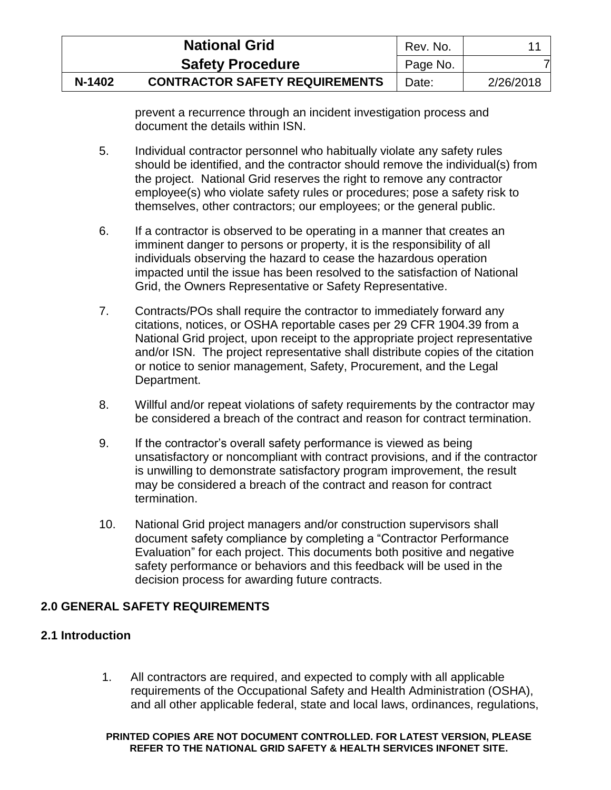|        | <b>National Grid</b>                  | Rev. No. |           |
|--------|---------------------------------------|----------|-----------|
|        | <b>Safety Procedure</b>               | Page No. |           |
| N-1402 | <b>CONTRACTOR SAFETY REQUIREMENTS</b> | Date:    | 2/26/2018 |

prevent a recurrence through an incident investigation process and document the details within ISN.

- 5. Individual contractor personnel who habitually violate any safety rules should be identified, and the contractor should remove the individual(s) from the project. National Grid reserves the right to remove any contractor employee(s) who violate safety rules or procedures; pose a safety risk to themselves, other contractors; our employees; or the general public.
- 6. If a contractor is observed to be operating in a manner that creates an imminent danger to persons or property, it is the responsibility of all individuals observing the hazard to cease the hazardous operation impacted until the issue has been resolved to the satisfaction of National Grid, the Owners Representative or Safety Representative.
- 7. Contracts/POs shall require the contractor to immediately forward any citations, notices, or OSHA reportable cases per 29 CFR 1904.39 from a National Grid project, upon receipt to the appropriate project representative and/or ISN. The project representative shall distribute copies of the citation or notice to senior management, Safety, Procurement, and the Legal Department.
- 8. Willful and/or repeat violations of safety requirements by the contractor may be considered a breach of the contract and reason for contract termination.
- 9. If the contractor's overall safety performance is viewed as being unsatisfactory or noncompliant with contract provisions, and if the contractor is unwilling to demonstrate satisfactory program improvement, the result may be considered a breach of the contract and reason for contract termination.
- 10. National Grid project managers and/or construction supervisors shall document safety compliance by completing a "Contractor Performance Evaluation" for each project. This documents both positive and negative safety performance or behaviors and this feedback will be used in the decision process for awarding future contracts.

# <span id="page-11-0"></span>**2.0 GENERAL SAFETY REQUIREMENTS**

# <span id="page-11-1"></span>**2.1 Introduction**

1. All contractors are required, and expected to comply with all applicable requirements of the Occupational Safety and Health Administration (OSHA), and all other applicable federal, state and local laws, ordinances, regulations,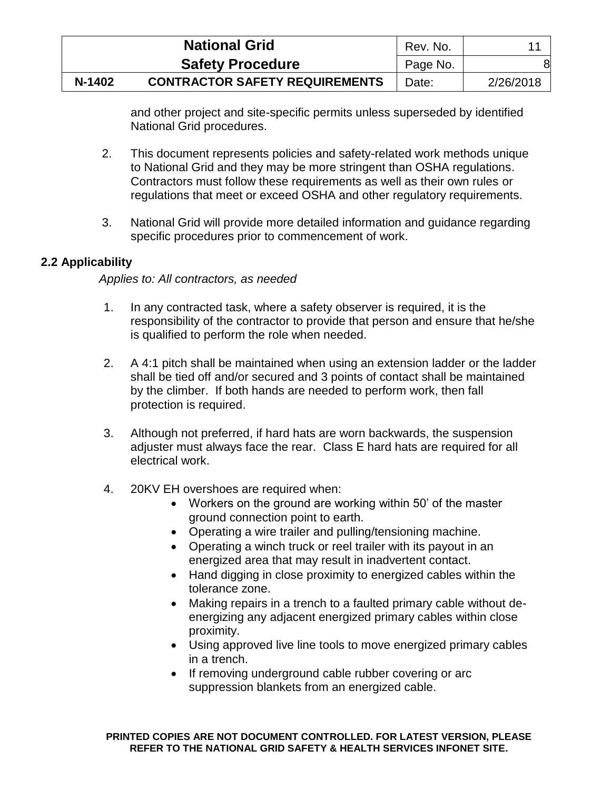|        | <b>National Grid</b>                  | Rev. No. |           |
|--------|---------------------------------------|----------|-----------|
|        | <b>Safety Procedure</b>               | Page No. | 8         |
| N-1402 | <b>CONTRACTOR SAFETY REQUIREMENTS</b> | Date:    | 2/26/2018 |

and other project and site-specific permits unless superseded by identified National Grid procedures.

- 2. This document represents policies and safety-related work methods unique to National Grid and they may be more stringent than OSHA regulations. Contractors must follow these requirements as well as their own rules or regulations that meet or exceed OSHA and other regulatory requirements.
- 3. National Grid will provide more detailed information and guidance regarding specific procedures prior to commencement of work.

# <span id="page-12-0"></span>**2.2 Applicability**

### *Applies to: All contractors, as needed*

- 1. In any contracted task, where a safety observer is required, it is the responsibility of the contractor to provide that person and ensure that he/she is qualified to perform the role when needed.
- 2. A 4:1 pitch shall be maintained when using an extension ladder or the ladder shall be tied off and/or secured and 3 points of contact shall be maintained by the climber. If both hands are needed to perform work, then fall protection is required.
- 3. Although not preferred, if hard hats are worn backwards, the suspension adjuster must always face the rear. Class E hard hats are required for all electrical work.
- 4. 20KV EH overshoes are required when:
	- Workers on the ground are working within 50' of the master ground connection point to earth.
	- Operating a wire trailer and pulling/tensioning machine.
	- Operating a winch truck or reel trailer with its payout in an energized area that may result in inadvertent contact.
	- Hand digging in close proximity to energized cables within the tolerance zone.
	- Making repairs in a trench to a faulted primary cable without deenergizing any adjacent energized primary cables within close proximity.
	- Using approved live line tools to move energized primary cables in a trench.
	- If removing underground cable rubber covering or arc suppression blankets from an energized cable.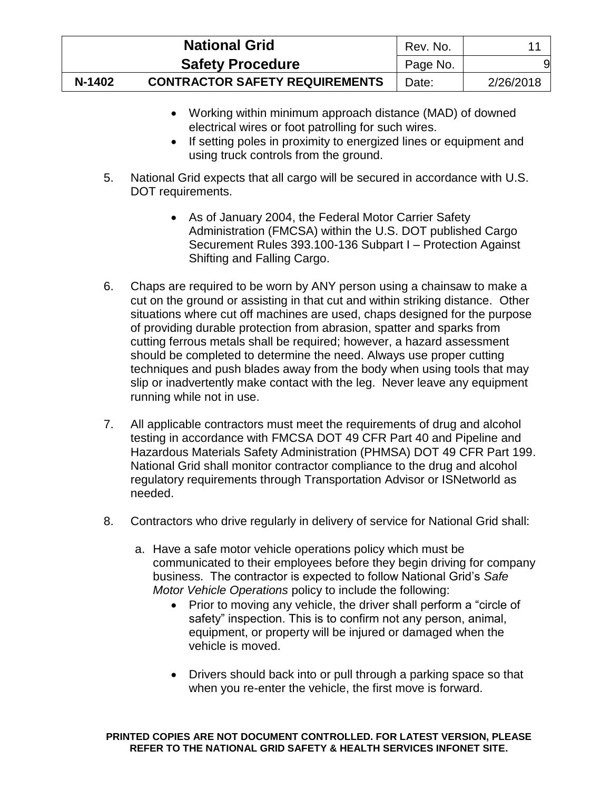|        | <b>National Grid</b>                  | Rev. No. |           |
|--------|---------------------------------------|----------|-----------|
|        | <b>Safety Procedure</b>               | Page No. |           |
| N-1402 | <b>CONTRACTOR SAFETY REQUIREMENTS</b> | Date:    | 2/26/2018 |

- Working within minimum approach distance (MAD) of downed electrical wires or foot patrolling for such wires.
- If setting poles in proximity to energized lines or equipment and using truck controls from the ground.
- 5. National Grid expects that all cargo will be secured in accordance with U.S. DOT requirements.
	- As of January 2004, the Federal Motor Carrier Safety Administration (FMCSA) within the U.S. DOT published Cargo Securement Rules 393.100-136 Subpart I – Protection Against Shifting and Falling Cargo.
- 6. Chaps are required to be worn by ANY person using a chainsaw to make a cut on the ground or assisting in that cut and within striking distance. Other situations where cut off machines are used, chaps designed for the purpose of providing durable protection from abrasion, spatter and sparks from cutting ferrous metals shall be required; however, a hazard assessment should be completed to determine the need. Always use proper cutting techniques and push blades away from the body when using tools that may slip or inadvertently make contact with the leg. Never leave any equipment running while not in use.
- 7. All applicable contractors must meet the requirements of drug and alcohol testing in accordance with FMCSA DOT 49 CFR Part 40 and Pipeline and Hazardous Materials Safety Administration (PHMSA) DOT 49 CFR Part 199. National Grid shall monitor contractor compliance to the drug and alcohol regulatory requirements through Transportation Advisor or ISNetworld as needed.
- 8. Contractors who drive regularly in delivery of service for National Grid shall:
	- a. Have a safe motor vehicle operations policy which must be communicated to their employees before they begin driving for company business. The contractor is expected to follow National Grid's *Safe Motor Vehicle Operations* policy to include the following:
		- Prior to moving any vehicle, the driver shall perform a "circle of safety" inspection. This is to confirm not any person, animal, equipment, or property will be injured or damaged when the vehicle is moved.
		- Drivers should back into or pull through a parking space so that when you re-enter the vehicle, the first move is forward.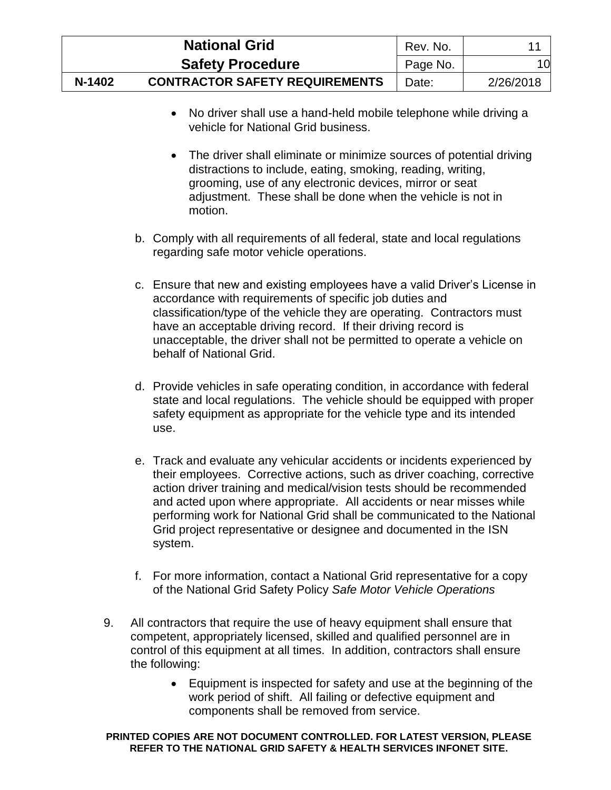|        | <b>National Grid</b>                  | Rev. No. |           |
|--------|---------------------------------------|----------|-----------|
|        | <b>Safety Procedure</b>               | Page No. | 10        |
| N-1402 | <b>CONTRACTOR SAFETY REQUIREMENTS</b> | Date:    | 2/26/2018 |

- No driver shall use a hand-held mobile telephone while driving a vehicle for National Grid business.
- The driver shall eliminate or minimize sources of potential driving distractions to include, eating, smoking, reading, writing, grooming, use of any electronic devices, mirror or seat adjustment. These shall be done when the vehicle is not in motion.
- b. Comply with all requirements of all federal, state and local regulations regarding safe motor vehicle operations.
- c. Ensure that new and existing employees have a valid Driver's License in accordance with requirements of specific job duties and classification/type of the vehicle they are operating. Contractors must have an acceptable driving record. If their driving record is unacceptable, the driver shall not be permitted to operate a vehicle on behalf of National Grid.
- d. Provide vehicles in safe operating condition, in accordance with federal state and local regulations. The vehicle should be equipped with proper safety equipment as appropriate for the vehicle type and its intended use.
- e. Track and evaluate any vehicular accidents or incidents experienced by their employees. Corrective actions, such as driver coaching, corrective action driver training and medical/vision tests should be recommended and acted upon where appropriate. All accidents or near misses while performing work for National Grid shall be communicated to the National Grid project representative or designee and documented in the ISN system.
- f. For more information, contact a National Grid representative for a copy of the National Grid Safety Policy *Safe Motor Vehicle Operations*
- 9. All contractors that require the use of heavy equipment shall ensure that competent, appropriately licensed, skilled and qualified personnel are in control of this equipment at all times. In addition, contractors shall ensure the following:
	- Equipment is inspected for safety and use at the beginning of the work period of shift. All failing or defective equipment and components shall be removed from service.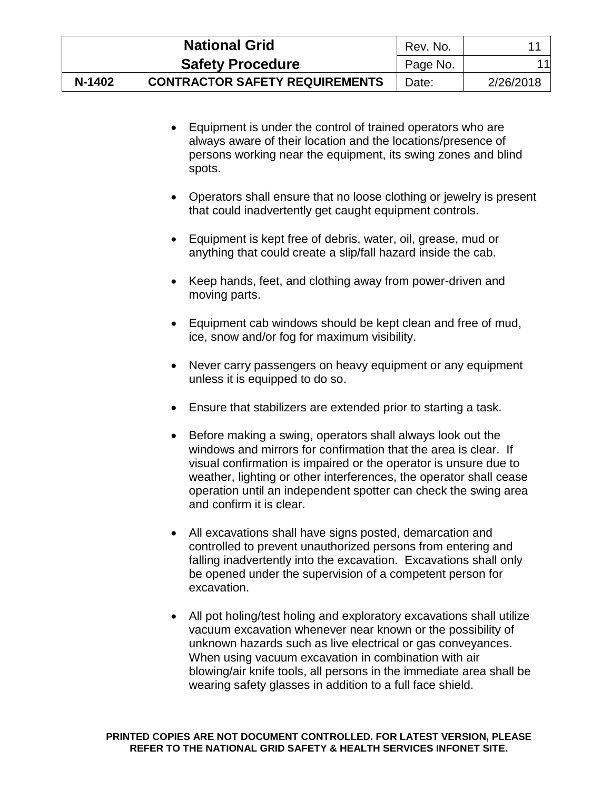|        | <b>National Grid</b>                  | Rev. No. |           |
|--------|---------------------------------------|----------|-----------|
|        | <b>Safety Procedure</b>               | Page No. | 11l       |
| N-1402 | <b>CONTRACTOR SAFETY REQUIREMENTS</b> | Date:    | 2/26/2018 |

- Equipment is under the control of trained operators who are always aware of their location and the locations/presence of persons working near the equipment, its swing zones and blind spots.
- Operators shall ensure that no loose clothing or jewelry is present that could inadvertently get caught equipment controls.
- Equipment is kept free of debris, water, oil, grease, mud or anything that could create a slip/fall hazard inside the cab.
- Keep hands, feet, and clothing away from power-driven and moving parts.
- Equipment cab windows should be kept clean and free of mud, ice, snow and/or fog for maximum visibility.
- Never carry passengers on heavy equipment or any equipment unless it is equipped to do so.
- Ensure that stabilizers are extended prior to starting a task.
- Before making a swing, operators shall always look out the windows and mirrors for confirmation that the area is clear. If visual confirmation is impaired or the operator is unsure due to weather, lighting or other interferences, the operator shall cease operation until an independent spotter can check the swing area and confirm it is clear.
- All excavations shall have signs posted, demarcation and controlled to prevent unauthorized persons from entering and falling inadvertently into the excavation. Excavations shall only be opened under the supervision of a competent person for excavation.
- All pot holing/test holing and exploratory excavations shall utilize vacuum excavation whenever near known or the possibility of unknown hazards such as live electrical or gas conveyances. When using vacuum excavation in combination with air blowing/air knife tools, all persons in the immediate area shall be wearing safety glasses in addition to a full face shield.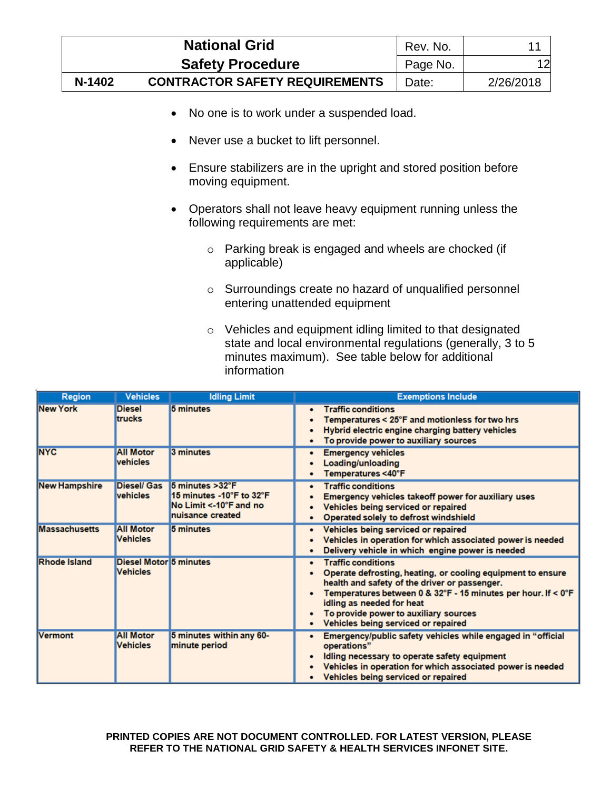|        | <b>National Grid</b>                  | Rev. No. |           |
|--------|---------------------------------------|----------|-----------|
|        | <b>Safety Procedure</b>               | Page No. | 12        |
| N-1402 | <b>CONTRACTOR SAFETY REQUIREMENTS</b> | Date:    | 2/26/2018 |

- No one is to work under a suspended load.
- Never use a bucket to lift personnel.
- Ensure stabilizers are in the upright and stored position before moving equipment.
- Operators shall not leave heavy equipment running unless the following requirements are met:
	- o Parking break is engaged and wheels are chocked (if applicable)
	- o Surroundings create no hazard of unqualified personnel entering unattended equipment
	- o Vehicles and equipment idling limited to that designated state and local environmental regulations (generally, 3 to 5 minutes maximum). See table below for additional information

| <b>Region</b>        | <b>Vehicles</b>                                  | <b>Idling Limit</b>                                                                        | <b>Exemptions Include</b>                                                                                                                                                                                                                                                                                               |
|----------------------|--------------------------------------------------|--------------------------------------------------------------------------------------------|-------------------------------------------------------------------------------------------------------------------------------------------------------------------------------------------------------------------------------------------------------------------------------------------------------------------------|
| <b>New York</b>      | <b>Diesel</b><br><b>trucks</b>                   | 5 minutes                                                                                  | <b>Traffic conditions</b><br>Temperatures < 25°F and motionless for two hrs<br>Hybrid electric engine charging battery vehicles<br>To provide power to auxiliary sources                                                                                                                                                |
| <b>NYC</b>           | <b>All Motor</b><br>vehicles                     | 3 minutes                                                                                  | <b>Emergency vehicles</b><br>Loading/unloading<br>Temperatures <40°F                                                                                                                                                                                                                                                    |
| <b>New Hampshire</b> | <b>Diesel/ Gas</b><br><b>vehicles</b>            | 5 minutes > 32°F<br>15 minutes -10°F to 32°F<br>No Limit <-10°F and no<br>nuisance created | <b>Traffic conditions</b><br>Emergency vehicles takeoff power for auxiliary uses<br>Vehicles being serviced or repaired<br>Operated solely to defrost windshield                                                                                                                                                        |
| <b>Massachusetts</b> | <b>All Motor</b><br><b>Vehicles</b>              | 5 minutes                                                                                  | Vehicles being serviced or repaired<br>Vehicles in operation for which associated power is needed<br>Delivery vehicle in which engine power is needed                                                                                                                                                                   |
| <b>Rhode Island</b>  | <b>Diesel Motor 5 minutes</b><br><b>Vehicles</b> |                                                                                            | <b>Traffic conditions</b><br>Operate defrosting, heating, or cooling equipment to ensure<br>health and safety of the driver or passenger.<br>Temperatures between 0 & 32°F - 15 minutes per hour. If < 0°F<br>idling as needed for heat<br>To provide power to auxiliary sources<br>Vehicles being serviced or repaired |
| <b>Vermont</b>       | <b>All Motor</b><br><b>Vehicles</b>              | 5 minutes within any 60-<br>minute period                                                  | Emergency/public safety vehicles while engaged in "official<br>operations"<br>Idling necessary to operate safety equipment<br>Vehicles in operation for which associated power is needed<br>Vehicles being serviced or repaired                                                                                         |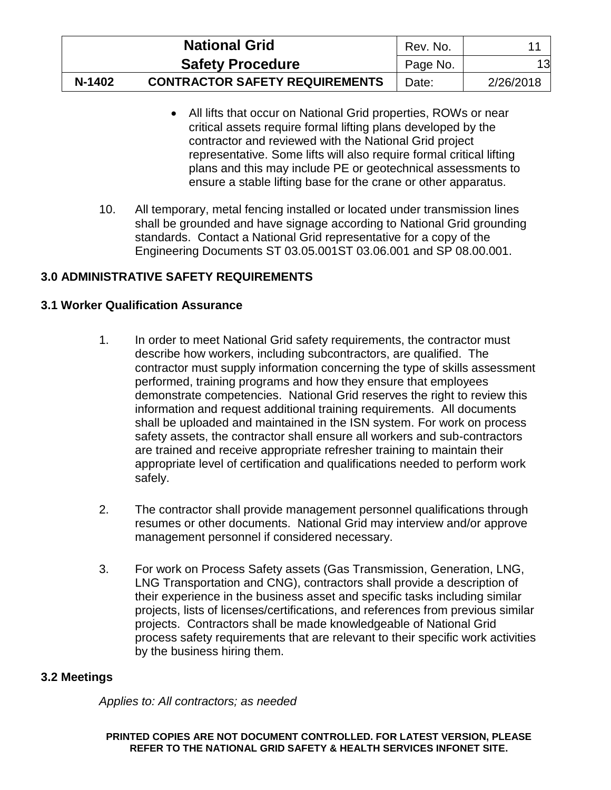|        | <b>National Grid</b>                  | Rev. No. |           |
|--------|---------------------------------------|----------|-----------|
|        | <b>Safety Procedure</b>               | Page No. | 13        |
| N-1402 | <b>CONTRACTOR SAFETY REQUIREMENTS</b> | Date:    | 2/26/2018 |

- All lifts that occur on National Grid properties, ROWs or near critical assets require formal lifting plans developed by the contractor and reviewed with the National Grid project representative. Some lifts will also require formal critical lifting plans and this may include PE or geotechnical assessments to ensure a stable lifting base for the crane or other apparatus.
- 10. All temporary, metal fencing installed or located under transmission lines shall be grounded and have signage according to National Grid grounding standards. Contact a National Grid representative for a copy of the Engineering Documents ST 03.05.001ST 03.06.001 and SP 08.00.001.

# <span id="page-17-0"></span>**3.0 ADMINISTRATIVE SAFETY REQUIREMENTS**

# <span id="page-17-1"></span>**3.1 Worker Qualification Assurance**

- 1. In order to meet National Grid safety requirements, the contractor must describe how workers, including subcontractors, are qualified. The contractor must supply information concerning the type of skills assessment performed, training programs and how they ensure that employees demonstrate competencies. National Grid reserves the right to review this information and request additional training requirements. All documents shall be uploaded and maintained in the ISN system. For work on process safety assets, the contractor shall ensure all workers and sub-contractors are trained and receive appropriate refresher training to maintain their appropriate level of certification and qualifications needed to perform work safely.
- 2. The contractor shall provide management personnel qualifications through resumes or other documents. National Grid may interview and/or approve management personnel if considered necessary.
- 3. For work on Process Safety assets (Gas Transmission, Generation, LNG, LNG Transportation and CNG), contractors shall provide a description of their experience in the business asset and specific tasks including similar projects, lists of licenses/certifications, and references from previous similar projects. Contractors shall be made knowledgeable of National Grid process safety requirements that are relevant to their specific work activities by the business hiring them.

### <span id="page-17-2"></span>**3.2 Meetings**

*Applies to: All contractors; as needed*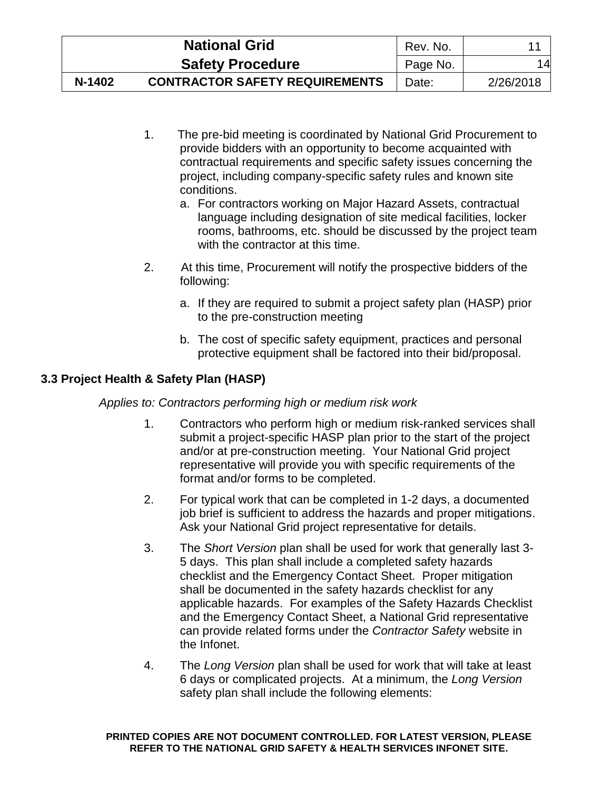|        | <b>National Grid</b>                  | Rev. No. |           |
|--------|---------------------------------------|----------|-----------|
|        | <b>Safety Procedure</b>               | Page No. | 14        |
| N-1402 | <b>CONTRACTOR SAFETY REQUIREMENTS</b> | Date:    | 2/26/2018 |

- 1. The pre-bid meeting is coordinated by National Grid Procurement to provide bidders with an opportunity to become acquainted with contractual requirements and specific safety issues concerning the project, including company-specific safety rules and known site conditions.
	- a. For contractors working on Major Hazard Assets, contractual language including designation of site medical facilities, locker rooms, bathrooms, etc. should be discussed by the project team with the contractor at this time.
- 2. At this time, Procurement will notify the prospective bidders of the following:
	- a. If they are required to submit a project safety plan (HASP) prior to the pre-construction meeting
	- b. The cost of specific safety equipment, practices and personal protective equipment shall be factored into their bid/proposal.

# <span id="page-18-0"></span>**3.3 Project Health & Safety Plan (HASP)**

*Applies to: Contractors performing high or medium risk work*

- 1. Contractors who perform high or medium risk-ranked services shall submit a project-specific HASP plan prior to the start of the project and/or at pre-construction meeting. Your National Grid project representative will provide you with specific requirements of the format and/or forms to be completed.
- 2. For typical work that can be completed in 1-2 days, a documented job brief is sufficient to address the hazards and proper mitigations. Ask your National Grid project representative for details.
- 3. The *Short Version* plan shall be used for work that generally last 3- 5 days. This plan shall include a completed safety hazards checklist and the Emergency Contact Sheet. Proper mitigation shall be documented in the safety hazards checklist for any applicable hazards. For examples of the Safety Hazards Checklist and the Emergency Contact Sheet, a National Grid representative can provide related forms under the *Contractor Safety* website in the Infonet.
- 4. The *Long Version* plan shall be used for work that will take at least 6 days or complicated projects. At a minimum, the *Long Version*  safety plan shall include the following elements: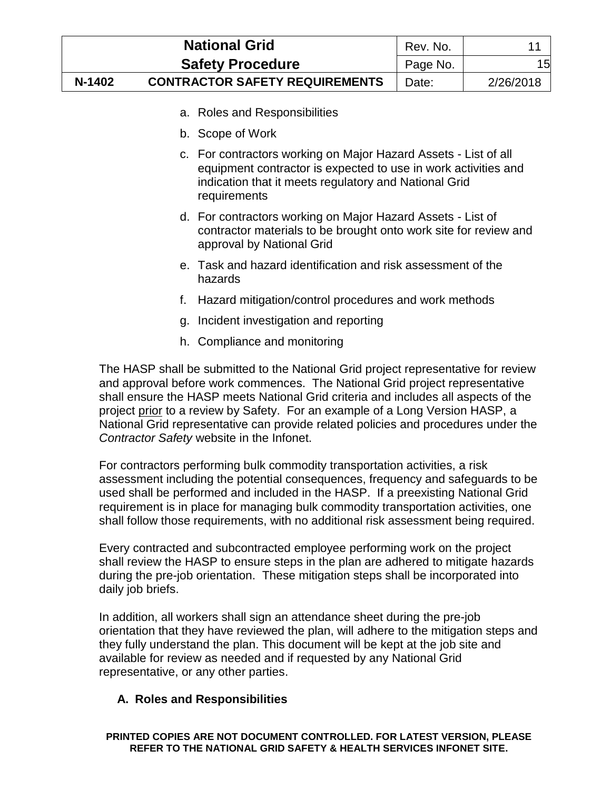|        | <b>National Grid</b>                  | Rev. No. |           |
|--------|---------------------------------------|----------|-----------|
|        | <b>Safety Procedure</b>               | Page No. | 15        |
| N-1402 | <b>CONTRACTOR SAFETY REQUIREMENTS</b> | Date:    | 2/26/2018 |

- a. Roles and Responsibilities
- b. Scope of Work
- c. For contractors working on Major Hazard Assets List of all equipment contractor is expected to use in work activities and indication that it meets regulatory and National Grid requirements
- d. For contractors working on Major Hazard Assets List of contractor materials to be brought onto work site for review and approval by National Grid
- e. Task and hazard identification and risk assessment of the hazards
- f. Hazard mitigation/control procedures and work methods
- g. Incident investigation and reporting
- h. Compliance and monitoring

The HASP shall be submitted to the National Grid project representative for review and approval before work commences. The National Grid project representative shall ensure the HASP meets National Grid criteria and includes all aspects of the project prior to a review by Safety. For an example of a Long Version HASP, a National Grid representative can provide related policies and procedures under the *Contractor Safety* website in the Infonet.

For contractors performing bulk commodity transportation activities, a risk assessment including the potential consequences, frequency and safeguards to be used shall be performed and included in the HASP. If a preexisting National Grid requirement is in place for managing bulk commodity transportation activities, one shall follow those requirements, with no additional risk assessment being required.

Every contracted and subcontracted employee performing work on the project shall review the HASP to ensure steps in the plan are adhered to mitigate hazards during the pre-job orientation. These mitigation steps shall be incorporated into daily job briefs.

In addition, all workers shall sign an attendance sheet during the pre-job orientation that they have reviewed the plan, will adhere to the mitigation steps and they fully understand the plan. This document will be kept at the job site and available for review as needed and if requested by any National Grid representative, or any other parties.

# **A. Roles and Responsibilities**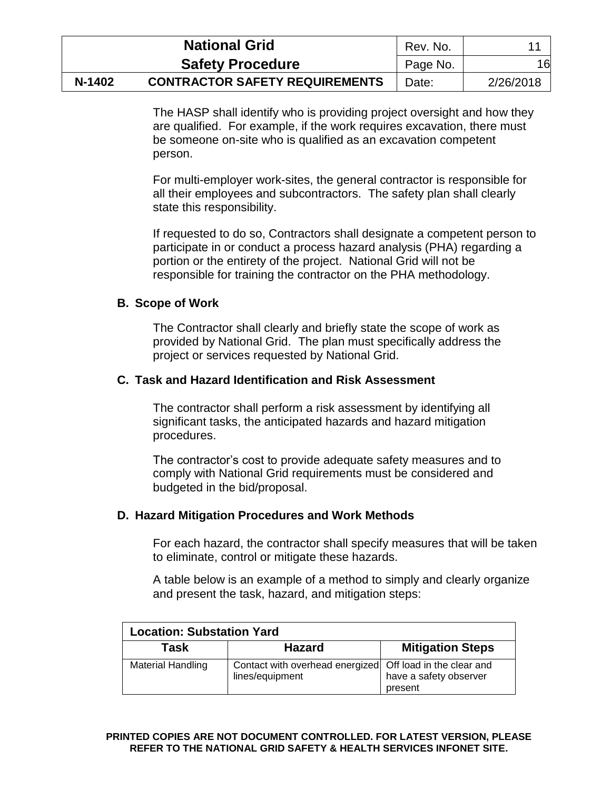|        | <b>National Grid</b>                  | Rev. No. |           |
|--------|---------------------------------------|----------|-----------|
|        | <b>Safety Procedure</b>               | Page No. | 16        |
| N-1402 | <b>CONTRACTOR SAFETY REQUIREMENTS</b> | Date:    | 2/26/2018 |

The HASP shall identify who is providing project oversight and how they are qualified. For example, if the work requires excavation, there must be someone on-site who is qualified as an excavation competent person.

For multi-employer work-sites, the general contractor is responsible for all their employees and subcontractors. The safety plan shall clearly state this responsibility.

If requested to do so, Contractors shall designate a competent person to participate in or conduct a process hazard analysis (PHA) regarding a portion or the entirety of the project. National Grid will not be responsible for training the contractor on the PHA methodology.

### **B. Scope of Work**

The Contractor shall clearly and briefly state the scope of work as provided by National Grid. The plan must specifically address the project or services requested by National Grid.

### **C. Task and Hazard Identification and Risk Assessment**

The contractor shall perform a risk assessment by identifying all significant tasks, the anticipated hazards and hazard mitigation procedures.

The contractor's cost to provide adequate safety measures and to comply with National Grid requirements must be considered and budgeted in the bid/proposal.

### **D. Hazard Mitigation Procedures and Work Methods**

For each hazard, the contractor shall specify measures that will be taken to eliminate, control or mitigate these hazards.

A table below is an example of a method to simply and clearly organize and present the task, hazard, and mitigation steps:

| <b>Location: Substation Yard</b> |                                                                              |                                   |  |  |
|----------------------------------|------------------------------------------------------------------------------|-----------------------------------|--|--|
| Task                             | <b>Hazard</b>                                                                | <b>Mitigation Steps</b>           |  |  |
| <b>Material Handling</b>         | Contact with overhead energized Off load in the clear and<br>lines/equipment | have a safety observer<br>present |  |  |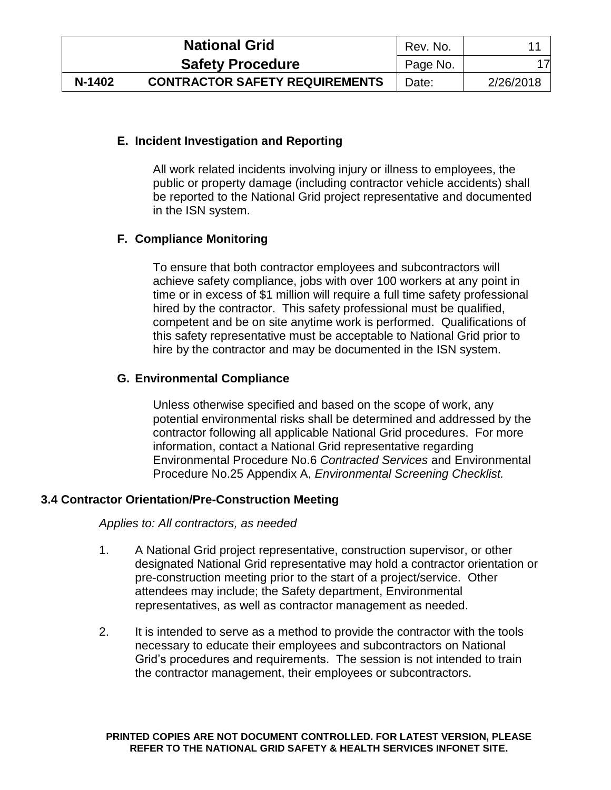|        | <b>National Grid</b>                  | Rev. No. |           |
|--------|---------------------------------------|----------|-----------|
|        | <b>Safety Procedure</b>               | Page No. |           |
| N-1402 | <b>CONTRACTOR SAFETY REQUIREMENTS</b> | Date:    | 2/26/2018 |

## **E. Incident Investigation and Reporting**

All work related incidents involving injury or illness to employees, the public or property damage (including contractor vehicle accidents) shall be reported to the National Grid project representative and documented in the ISN system.

# **F. Compliance Monitoring**

To ensure that both contractor employees and subcontractors will achieve safety compliance, jobs with over 100 workers at any point in time or in excess of \$1 million will require a full time safety professional hired by the contractor. This safety professional must be qualified, competent and be on site anytime work is performed. Qualifications of this safety representative must be acceptable to National Grid prior to hire by the contractor and may be documented in the ISN system.

### **G. Environmental Compliance**

Unless otherwise specified and based on the scope of work, any potential environmental risks shall be determined and addressed by the contractor following all applicable National Grid procedures. For more information, contact a National Grid representative regarding Environmental Procedure No.6 *Contracted Services* and Environmental Procedure No.25 Appendix A, *Environmental Screening Checklist.*

### <span id="page-21-0"></span>**3.4 Contractor Orientation/Pre-Construction Meeting**

### *Applies to: All contractors, as needed*

- 1. A National Grid project representative, construction supervisor, or other designated National Grid representative may hold a contractor orientation or pre-construction meeting prior to the start of a project/service. Other attendees may include; the Safety department, Environmental representatives, as well as contractor management as needed.
- 2. It is intended to serve as a method to provide the contractor with the tools necessary to educate their employees and subcontractors on National Grid's procedures and requirements. The session is not intended to train the contractor management, their employees or subcontractors.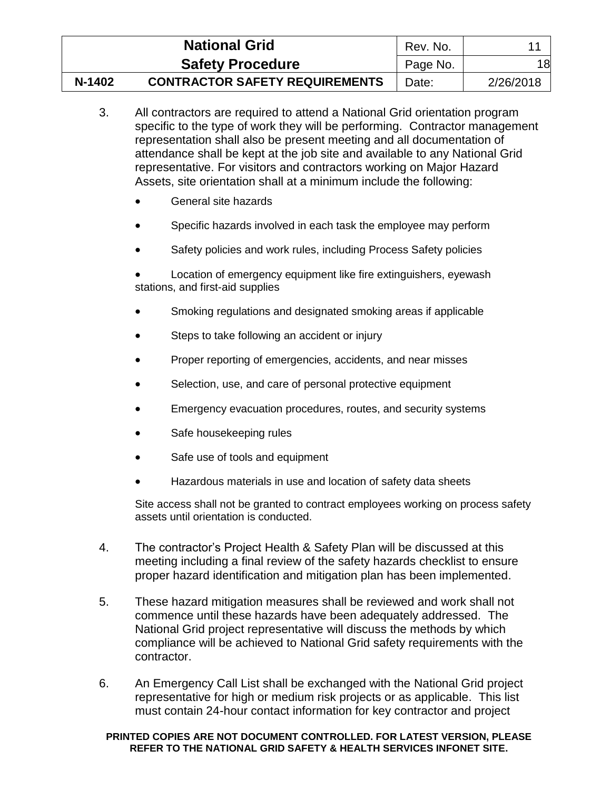|        | <b>National Grid</b>                  | Rev. No. |           |
|--------|---------------------------------------|----------|-----------|
|        | <b>Safety Procedure</b>               | Page No. | 18        |
| N-1402 | <b>CONTRACTOR SAFETY REQUIREMENTS</b> | Date:    | 2/26/2018 |

- 3. All contractors are required to attend a National Grid orientation program specific to the type of work they will be performing. Contractor management representation shall also be present meeting and all documentation of attendance shall be kept at the job site and available to any National Grid representative. For visitors and contractors working on Major Hazard Assets, site orientation shall at a minimum include the following:
	- General site hazards
	- Specific hazards involved in each task the employee may perform
	- Safety policies and work rules, including Process Safety policies

 Location of emergency equipment like fire extinguishers, eyewash stations, and first-aid supplies

- Smoking regulations and designated smoking areas if applicable
- Steps to take following an accident or injury
- Proper reporting of emergencies, accidents, and near misses
- Selection, use, and care of personal protective equipment
- Emergency evacuation procedures, routes, and security systems
- Safe housekeeping rules
- Safe use of tools and equipment
- Hazardous materials in use and location of safety data sheets

Site access shall not be granted to contract employees working on process safety assets until orientation is conducted.

- 4. The contractor's Project Health & Safety Plan will be discussed at this meeting including a final review of the safety hazards checklist to ensure proper hazard identification and mitigation plan has been implemented.
- 5. These hazard mitigation measures shall be reviewed and work shall not commence until these hazards have been adequately addressed. The National Grid project representative will discuss the methods by which compliance will be achieved to National Grid safety requirements with the contractor.
- 6. An Emergency Call List shall be exchanged with the National Grid project representative for high or medium risk projects or as applicable. This list must contain 24-hour contact information for key contractor and project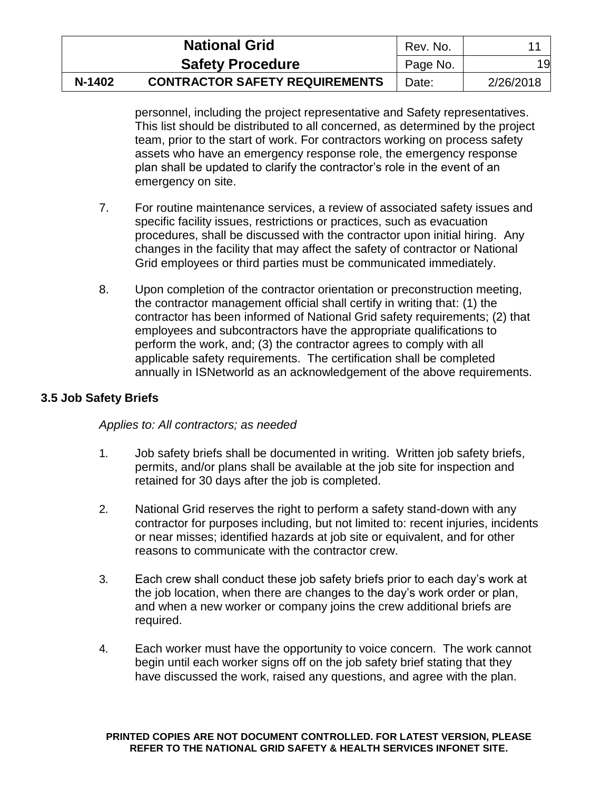|        | <b>National Grid</b>                  | Rev. No. |           |
|--------|---------------------------------------|----------|-----------|
|        | <b>Safety Procedure</b>               | Page No. | 19        |
| N-1402 | <b>CONTRACTOR SAFETY REQUIREMENTS</b> | Date:    | 2/26/2018 |

personnel, including the project representative and Safety representatives. This list should be distributed to all concerned, as determined by the project team, prior to the start of work. For contractors working on process safety assets who have an emergency response role, the emergency response plan shall be updated to clarify the contractor's role in the event of an emergency on site.

- 7. For routine maintenance services, a review of associated safety issues and specific facility issues, restrictions or practices, such as evacuation procedures, shall be discussed with the contractor upon initial hiring. Any changes in the facility that may affect the safety of contractor or National Grid employees or third parties must be communicated immediately.
- 8. Upon completion of the contractor orientation or preconstruction meeting, the contractor management official shall certify in writing that: (1) the contractor has been informed of National Grid safety requirements; (2) that employees and subcontractors have the appropriate qualifications to perform the work, and; (3) the contractor agrees to comply with all applicable safety requirements. The certification shall be completed annually in ISNetworld as an acknowledgement of the above requirements.

## <span id="page-23-0"></span>**3.5 Job Safety Briefs**

### *Applies to: All contractors; as needed*

- 1. Job safety briefs shall be documented in writing. Written job safety briefs, permits, and/or plans shall be available at the job site for inspection and retained for 30 days after the job is completed.
- 2. National Grid reserves the right to perform a safety stand-down with any contractor for purposes including, but not limited to: recent injuries, incidents or near misses; identified hazards at job site or equivalent, and for other reasons to communicate with the contractor crew.
- 3. Each crew shall conduct these job safety briefs prior to each day's work at the job location, when there are changes to the day's work order or plan, and when a new worker or company joins the crew additional briefs are required.
- 4. Each worker must have the opportunity to voice concern. The work cannot begin until each worker signs off on the job safety brief stating that they have discussed the work, raised any questions, and agree with the plan.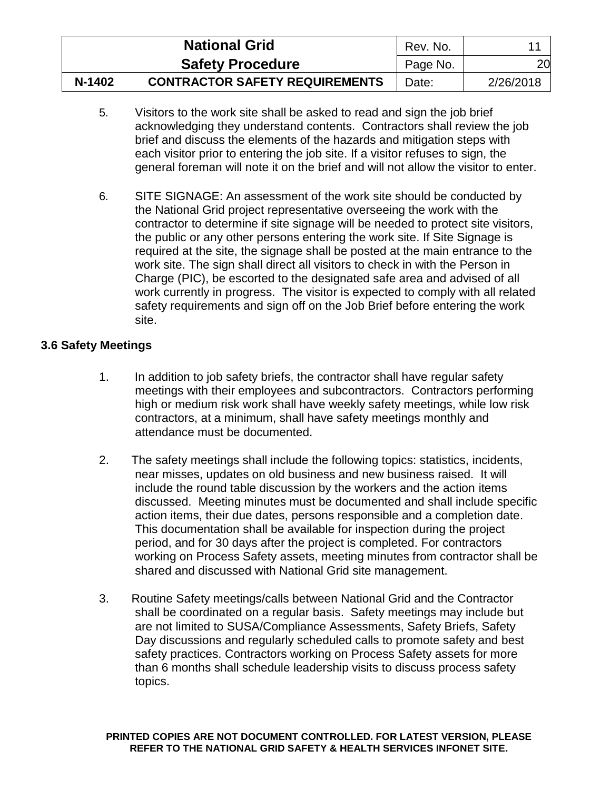|        | <b>National Grid</b>                  | Rev. No. |           |
|--------|---------------------------------------|----------|-----------|
|        | <b>Safety Procedure</b>               | Page No. | 20        |
| N-1402 | <b>CONTRACTOR SAFETY REQUIREMENTS</b> | Date:    | 2/26/2018 |

- 5. Visitors to the work site shall be asked to read and sign the job brief acknowledging they understand contents. Contractors shall review the job brief and discuss the elements of the hazards and mitigation steps with each visitor prior to entering the job site. If a visitor refuses to sign, the general foreman will note it on the brief and will not allow the visitor to enter.
- 6. SITE SIGNAGE: An assessment of the work site should be conducted by the National Grid project representative overseeing the work with the contractor to determine if site signage will be needed to protect site visitors, the public or any other persons entering the work site. If Site Signage is required at the site, the signage shall be posted at the main entrance to the work site. The sign shall direct all visitors to check in with the Person in Charge (PIC), be escorted to the designated safe area and advised of all work currently in progress. The visitor is expected to comply with all related safety requirements and sign off on the Job Brief before entering the work site.

# <span id="page-24-0"></span>**3.6 Safety Meetings**

- 1. In addition to job safety briefs, the contractor shall have regular safety meetings with their employees and subcontractors. Contractors performing high or medium risk work shall have weekly safety meetings, while low risk contractors, at a minimum, shall have safety meetings monthly and attendance must be documented.
- 2. The safety meetings shall include the following topics: statistics, incidents, near misses, updates on old business and new business raised. It will include the round table discussion by the workers and the action items discussed. Meeting minutes must be documented and shall include specific action items, their due dates, persons responsible and a completion date. This documentation shall be available for inspection during the project period, and for 30 days after the project is completed. For contractors working on Process Safety assets, meeting minutes from contractor shall be shared and discussed with National Grid site management.
- 3. Routine Safety meetings/calls between National Grid and the Contractor shall be coordinated on a regular basis. Safety meetings may include but are not limited to SUSA/Compliance Assessments, Safety Briefs, Safety Day discussions and regularly scheduled calls to promote safety and best safety practices. Contractors working on Process Safety assets for more than 6 months shall schedule leadership visits to discuss process safety topics.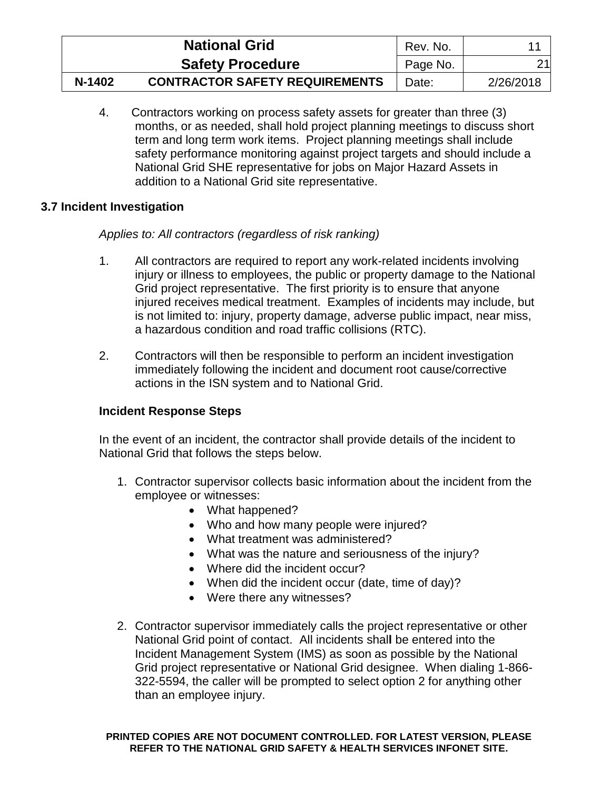|        | <b>National Grid</b>                  | Rev. No. |           |
|--------|---------------------------------------|----------|-----------|
|        | <b>Safety Procedure</b>               | Page No. | 21        |
| N-1402 | <b>CONTRACTOR SAFETY REQUIREMENTS</b> | Date:    | 2/26/2018 |

4. Contractors working on process safety assets for greater than three (3) months, or as needed, shall hold project planning meetings to discuss short term and long term work items. Project planning meetings shall include safety performance monitoring against project targets and should include a National Grid SHE representative for jobs on Major Hazard Assets in addition to a National Grid site representative.

# <span id="page-25-0"></span>**3.7 Incident Investigation**

# *Applies to: All contractors (regardless of risk ranking)*

- 1. All contractors are required to report any work-related incidents involving injury or illness to employees, the public or property damage to the National Grid project representative. The first priority is to ensure that anyone injured receives medical treatment. Examples of incidents may include, but is not limited to: injury, property damage, adverse public impact, near miss, a hazardous condition and road traffic collisions (RTC).
- 2. Contractors will then be responsible to perform an incident investigation immediately following the incident and document root cause/corrective actions in the ISN system and to National Grid.

# **Incident Response Steps**

In the event of an incident, the contractor shall provide details of the incident to National Grid that follows the steps below.

- 1. Contractor supervisor collects basic information about the incident from the employee or witnesses:
	- What happened?
	- Who and how many people were injured?
	- What treatment was administered?
	- What was the nature and seriousness of the injury?
	- Where did the incident occur?
	- When did the incident occur (date, time of day)?
	- Were there any witnesses?
- 2. Contractor supervisor immediately calls the project representative or other National Grid point of contact. All incidents shal**l** be entered into the Incident Management System (IMS) as soon as possible by the National Grid project representative or National Grid designee. When dialing 1-866- 322-5594, the caller will be prompted to select option 2 for anything other than an employee injury.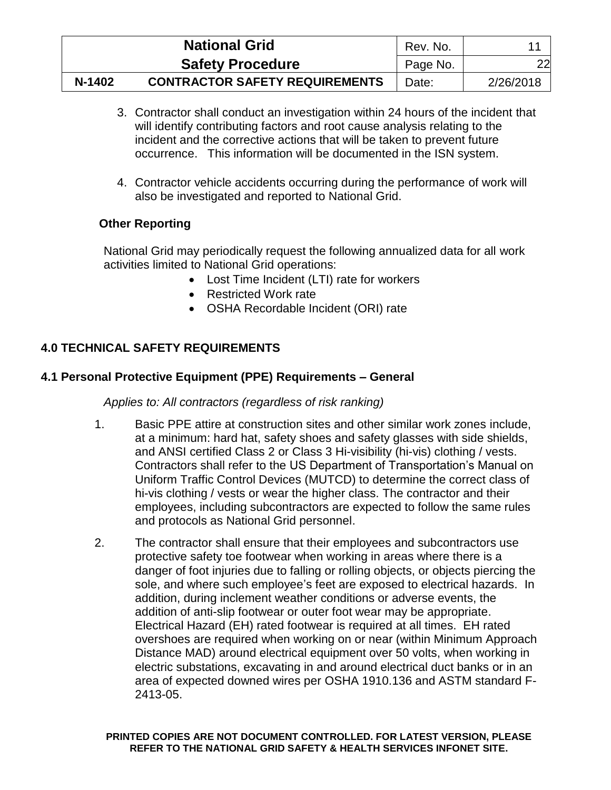|        | <b>National Grid</b>                  | Rev. No. |           |
|--------|---------------------------------------|----------|-----------|
|        | <b>Safety Procedure</b>               | Page No. | 22        |
| N-1402 | <b>CONTRACTOR SAFETY REQUIREMENTS</b> | Date:    | 2/26/2018 |

- 3. Contractor shall conduct an investigation within 24 hours of the incident that will identify contributing factors and root cause analysis relating to the incident and the corrective actions that will be taken to prevent future occurrence. This information will be documented in the ISN system.
- 4. Contractor vehicle accidents occurring during the performance of work will also be investigated and reported to National Grid.

# **Other Reporting**

National Grid may periodically request the following annualized data for all work activities limited to National Grid operations:

- Lost Time Incident (LTI) rate for workers
- Restricted Work rate
- OSHA Recordable Incident (ORI) rate

# <span id="page-26-0"></span>**4.0 TECHNICAL SAFETY REQUIREMENTS**

# <span id="page-26-1"></span>**4.1 Personal Protective Equipment (PPE) Requirements – General**

# *Applies to: All contractors (regardless of risk ranking)*

- 1. Basic PPE attire at construction sites and other similar work zones include, at a minimum: hard hat, safety shoes and safety glasses with side shields, and ANSI certified Class 2 or Class 3 Hi-visibility (hi-vis) clothing / vests. Contractors shall refer to the US Department of Transportation's Manual on Uniform Traffic Control Devices (MUTCD) to determine the correct class of hi-vis clothing / vests or wear the higher class. The contractor and their employees, including subcontractors are expected to follow the same rules and protocols as National Grid personnel.
- 2. The contractor shall ensure that their employees and subcontractors use protective safety toe footwear when working in areas where there is a danger of foot injuries due to falling or rolling objects, or objects piercing the sole, and where such employee's feet are exposed to electrical hazards. In addition, during inclement weather conditions or adverse events, the addition of anti-slip footwear or outer foot wear may be appropriate. Electrical Hazard (EH) rated footwear is required at all times. EH rated overshoes are required when working on or near (within Minimum Approach Distance MAD) around electrical equipment over 50 volts, when working in electric substations, excavating in and around electrical duct banks or in an area of expected downed wires per OSHA 1910.136 and ASTM standard F-2413-05.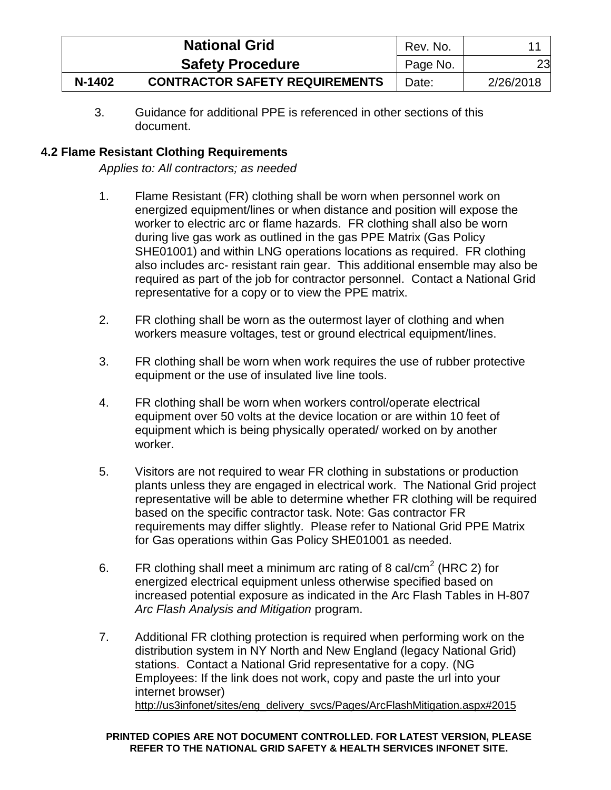| <b>National Grid</b> |                                       | Rev. No. |           |
|----------------------|---------------------------------------|----------|-----------|
|                      | <b>Safety Procedure</b>               | Page No. | 23        |
| N-1402               | <b>CONTRACTOR SAFETY REQUIREMENTS</b> | Date:    | 2/26/2018 |

3. Guidance for additional PPE is referenced in other sections of this document.

# <span id="page-27-0"></span>**4.2 Flame Resistant Clothing Requirements**

*Applies to: All contractors; as needed*

- 1. Flame Resistant (FR) clothing shall be worn when personnel work on energized equipment/lines or when distance and position will expose the worker to electric arc or flame hazards. FR clothing shall also be worn during live gas work as outlined in the gas PPE Matrix (Gas Policy SHE01001) and within LNG operations locations as required. FR clothing also includes arc- resistant rain gear. This additional ensemble may also be required as part of the job for contractor personnel. Contact a National Grid representative for a copy or to view the PPE matrix.
- 2. FR clothing shall be worn as the outermost layer of clothing and when workers measure voltages, test or ground electrical equipment/lines.
- 3. FR clothing shall be worn when work requires the use of rubber protective equipment or the use of insulated live line tools.
- 4. FR clothing shall be worn when workers control/operate electrical equipment over 50 volts at the device location or are within 10 feet of equipment which is being physically operated/ worked on by another worker.
- 5. Visitors are not required to wear FR clothing in substations or production plants unless they are engaged in electrical work. The National Grid project representative will be able to determine whether FR clothing will be required based on the specific contractor task. Note: Gas contractor FR requirements may differ slightly. Please refer to National Grid PPE Matrix for Gas operations within Gas Policy SHE01001 as needed.
- 6. FR clothing shall meet a minimum arc rating of 8 cal/cm<sup>2</sup> (HRC 2) for energized electrical equipment unless otherwise specified based on increased potential exposure as indicated in the Arc Flash Tables in H-807 *Arc Flash Analysis and Mitigation* program.
- 7. Additional FR clothing protection is required when performing work on the distribution system in NY North and New England (legacy National Grid) stations. Contact a National Grid representative for a copy. (NG Employees: If the link does not work, copy and paste the url into your internet browser) [http://us3infonet/sites/eng\\_delivery\\_svcs/Pages/ArcFlashMitigation.aspx#2015](http://us3infonet/sites/eng_delivery_svcs/Pages/ArcFlashMitigation.aspx#2015)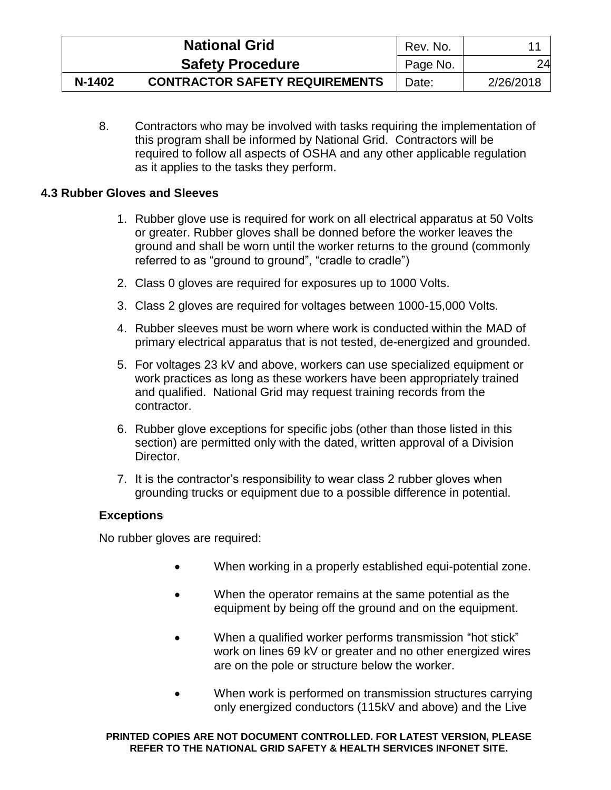|        | <b>National Grid</b>                  | Rev. No. | 11        |
|--------|---------------------------------------|----------|-----------|
|        | <b>Safety Procedure</b>               | Page No. | 24        |
| N-1402 | <b>CONTRACTOR SAFETY REQUIREMENTS</b> | Date:    | 2/26/2018 |

8. Contractors who may be involved with tasks requiring the implementation of this program shall be informed by National Grid. Contractors will be required to follow all aspects of OSHA and any other applicable regulation as it applies to the tasks they perform.

## <span id="page-28-0"></span>**4.3 Rubber Gloves and Sleeves**

- 1. Rubber glove use is required for work on all electrical apparatus at 50 Volts or greater. Rubber gloves shall be donned before the worker leaves the ground and shall be worn until the worker returns to the ground (commonly referred to as "ground to ground", "cradle to cradle")
- 2. Class 0 gloves are required for exposures up to 1000 Volts.
- 3. Class 2 gloves are required for voltages between 1000-15,000 Volts.
- 4. Rubber sleeves must be worn where work is conducted within the MAD of primary electrical apparatus that is not tested, de-energized and grounded.
- 5. For voltages 23 kV and above, workers can use specialized equipment or work practices as long as these workers have been appropriately trained and qualified. National Grid may request training records from the contractor.
- 6. Rubber glove exceptions for specific jobs (other than those listed in this section) are permitted only with the dated, written approval of a Division Director.
- 7. It is the contractor's responsibility to wear class 2 rubber gloves when grounding trucks or equipment due to a possible difference in potential.

### **Exceptions**

No rubber gloves are required:

- When working in a properly established equi-potential zone.
- When the operator remains at the same potential as the equipment by being off the ground and on the equipment.
- When a qualified worker performs transmission "hot stick" work on lines 69 kV or greater and no other energized wires are on the pole or structure below the worker.
- When work is performed on transmission structures carrying only energized conductors (115kV and above) and the Live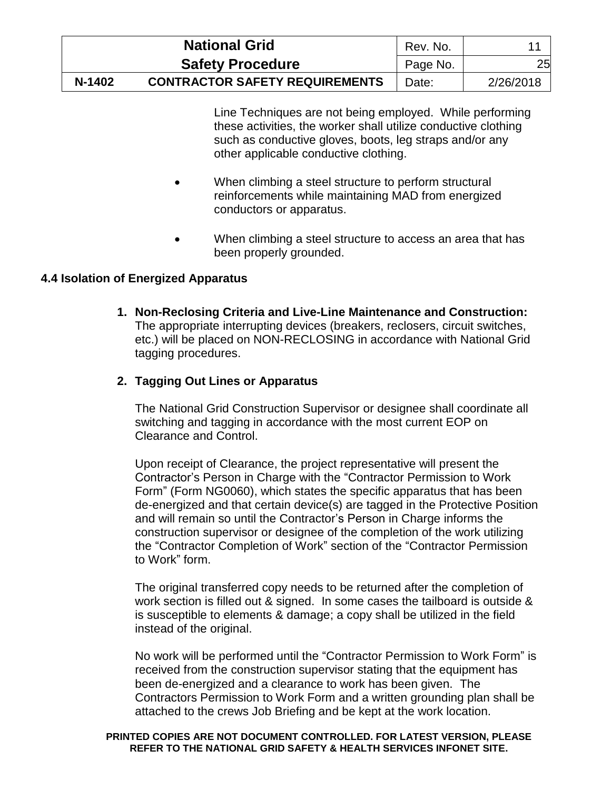|        | <b>National Grid</b>                  | Rev. No. |           |
|--------|---------------------------------------|----------|-----------|
|        | <b>Safety Procedure</b>               | Page No. | 25        |
| N-1402 | <b>CONTRACTOR SAFETY REQUIREMENTS</b> | Date:    | 2/26/2018 |

Line Techniques are not being employed. While performing these activities, the worker shall utilize conductive clothing such as conductive gloves, boots, leg straps and/or any other applicable conductive clothing.

- When climbing a steel structure to perform structural reinforcements while maintaining MAD from energized conductors or apparatus.
- When climbing a steel structure to access an area that has been properly grounded.

# <span id="page-29-0"></span>**4.4 Isolation of Energized Apparatus**

**1. Non-Reclosing Criteria and Live-Line Maintenance and Construction:**  The appropriate interrupting devices (breakers, reclosers, circuit switches, etc.) will be placed on NON-RECLOSING in accordance with National Grid tagging procedures.

### **2. Tagging Out Lines or Apparatus**

The National Grid Construction Supervisor or designee shall coordinate all switching and tagging in accordance with the most current EOP on Clearance and Control.

Upon receipt of Clearance, the project representative will present the Contractor's Person in Charge with the "Contractor Permission to Work Form" (Form NG0060), which states the specific apparatus that has been de-energized and that certain device(s) are tagged in the Protective Position and will remain so until the Contractor's Person in Charge informs the construction supervisor or designee of the completion of the work utilizing the "Contractor Completion of Work" section of the "Contractor Permission to Work" form.

The original transferred copy needs to be returned after the completion of work section is filled out & signed. In some cases the tailboard is outside & is susceptible to elements & damage; a copy shall be utilized in the field instead of the original.

No work will be performed until the "Contractor Permission to Work Form" is received from the construction supervisor stating that the equipment has been de-energized and a clearance to work has been given. The Contractors Permission to Work Form and a written grounding plan shall be attached to the crews Job Briefing and be kept at the work location.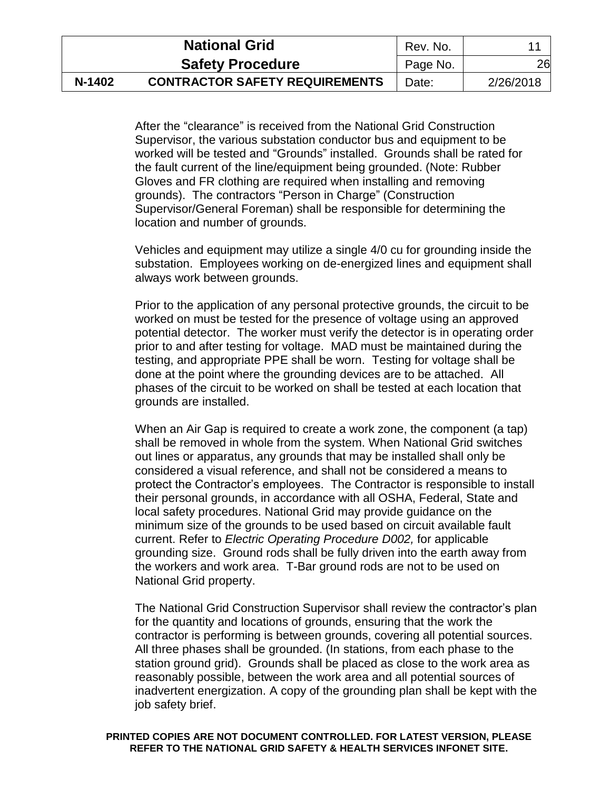|        | <b>National Grid</b>                  | Rev. No. |           |
|--------|---------------------------------------|----------|-----------|
|        | <b>Safety Procedure</b>               | Page No. | 26        |
| N-1402 | <b>CONTRACTOR SAFETY REQUIREMENTS</b> | Date:    | 2/26/2018 |

After the "clearance" is received from the National Grid Construction Supervisor, the various substation conductor bus and equipment to be worked will be tested and "Grounds" installed. Grounds shall be rated for the fault current of the line/equipment being grounded. (Note: Rubber Gloves and FR clothing are required when installing and removing grounds). The contractors "Person in Charge" (Construction Supervisor/General Foreman) shall be responsible for determining the location and number of grounds.

Vehicles and equipment may utilize a single 4/0 cu for grounding inside the substation. Employees working on de-energized lines and equipment shall always work between grounds.

Prior to the application of any personal protective grounds, the circuit to be worked on must be tested for the presence of voltage using an approved potential detector. The worker must verify the detector is in operating order prior to and after testing for voltage. MAD must be maintained during the testing, and appropriate PPE shall be worn. Testing for voltage shall be done at the point where the grounding devices are to be attached. All phases of the circuit to be worked on shall be tested at each location that grounds are installed.

When an Air Gap is required to create a work zone, the component (a tap) shall be removed in whole from the system. When National Grid switches out lines or apparatus, any grounds that may be installed shall only be considered a visual reference, and shall not be considered a means to protect the Contractor's employees. The Contractor is responsible to install their personal grounds, in accordance with all OSHA, Federal, State and local safety procedures. National Grid may provide guidance on the minimum size of the grounds to be used based on circuit available fault current. Refer to *Electric Operating Procedure D002,* for applicable grounding size. Ground rods shall be fully driven into the earth away from the workers and work area. T-Bar ground rods are not to be used on National Grid property.

The National Grid Construction Supervisor shall review the contractor's plan for the quantity and locations of grounds, ensuring that the work the contractor is performing is between grounds, covering all potential sources. All three phases shall be grounded. (In stations, from each phase to the station ground grid). Grounds shall be placed as close to the work area as reasonably possible, between the work area and all potential sources of inadvertent energization. A copy of the grounding plan shall be kept with the job safety brief.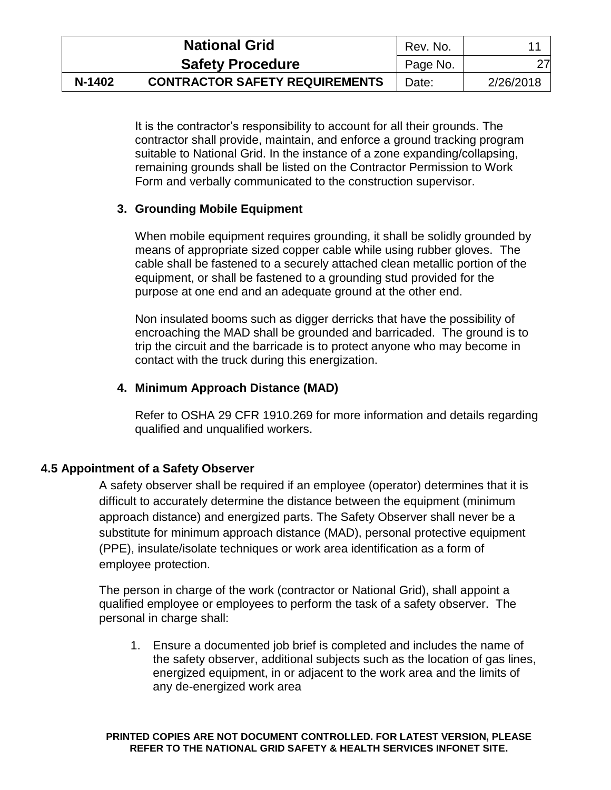|        | <b>National Grid</b>                  | Rev. No. |           |
|--------|---------------------------------------|----------|-----------|
|        | <b>Safety Procedure</b>               | Page No. | 27        |
| N-1402 | <b>CONTRACTOR SAFETY REQUIREMENTS</b> | Date:    | 2/26/2018 |

It is the contractor's responsibility to account for all their grounds. The contractor shall provide, maintain, and enforce a ground tracking program suitable to National Grid. In the instance of a zone expanding/collapsing, remaining grounds shall be listed on the Contractor Permission to Work Form and verbally communicated to the construction supervisor.

# **3. Grounding Mobile Equipment**

When mobile equipment requires grounding, it shall be solidly grounded by means of appropriate sized copper cable while using rubber gloves. The cable shall be fastened to a securely attached clean metallic portion of the equipment, or shall be fastened to a grounding stud provided for the purpose at one end and an adequate ground at the other end.

Non insulated booms such as digger derricks that have the possibility of encroaching the MAD shall be grounded and barricaded. The ground is to trip the circuit and the barricade is to protect anyone who may become in contact with the truck during this energization.

### **4. Minimum Approach Distance (MAD)**

Refer to OSHA 29 CFR 1910.269 for more information and details regarding qualified and unqualified workers.

### <span id="page-31-0"></span>**4.5 Appointment of a Safety Observer**

A safety observer shall be required if an employee (operator) determines that it is difficult to accurately determine the distance between the equipment (minimum approach distance) and energized parts. The Safety Observer shall never be a substitute for minimum approach distance (MAD), personal protective equipment (PPE), insulate/isolate techniques or work area identification as a form of employee protection.

The person in charge of the work (contractor or National Grid), shall appoint a qualified employee or employees to perform the task of a safety observer. The personal in charge shall:

1. Ensure a documented job brief is completed and includes the name of the safety observer, additional subjects such as the location of gas lines, energized equipment, in or adjacent to the work area and the limits of any de-energized work area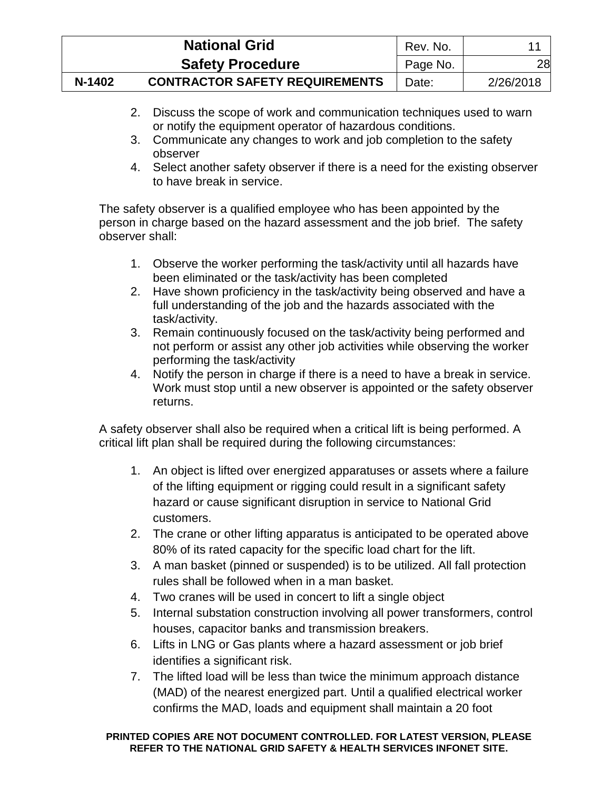|        | <b>National Grid</b>                  | Rev. No. |           |
|--------|---------------------------------------|----------|-----------|
|        | <b>Safety Procedure</b>               | Page No. | 28        |
| N-1402 | <b>CONTRACTOR SAFETY REQUIREMENTS</b> | Date:    | 2/26/2018 |

- 2. Discuss the scope of work and communication techniques used to warn or notify the equipment operator of hazardous conditions.
- 3. Communicate any changes to work and job completion to the safety observer
- 4. Select another safety observer if there is a need for the existing observer to have break in service.

The safety observer is a qualified employee who has been appointed by the person in charge based on the hazard assessment and the job brief. The safety observer shall:

- 1. Observe the worker performing the task/activity until all hazards have been eliminated or the task/activity has been completed
- 2. Have shown proficiency in the task/activity being observed and have a full understanding of the job and the hazards associated with the task/activity.
- 3. Remain continuously focused on the task/activity being performed and not perform or assist any other job activities while observing the worker performing the task/activity
- 4. Notify the person in charge if there is a need to have a break in service. Work must stop until a new observer is appointed or the safety observer returns.

A safety observer shall also be required when a critical lift is being performed. A critical lift plan shall be required during the following circumstances:

- 1. An object is lifted over energized apparatuses or assets where a failure of the lifting equipment or rigging could result in a significant safety hazard or cause significant disruption in service to National Grid customers.
- 2. The crane or other lifting apparatus is anticipated to be operated above 80% of its rated capacity for the specific load chart for the lift.
- 3. A man basket (pinned or suspended) is to be utilized. All fall protection rules shall be followed when in a man basket.
- 4. Two cranes will be used in concert to lift a single object
- 5. Internal substation construction involving all power transformers, control houses, capacitor banks and transmission breakers.
- 6. Lifts in LNG or Gas plants where a hazard assessment or job brief identifies a significant risk.
- 7. The lifted load will be less than twice the minimum approach distance (MAD) of the nearest energized part. Until a qualified electrical worker confirms the MAD, loads and equipment shall maintain a 20 foot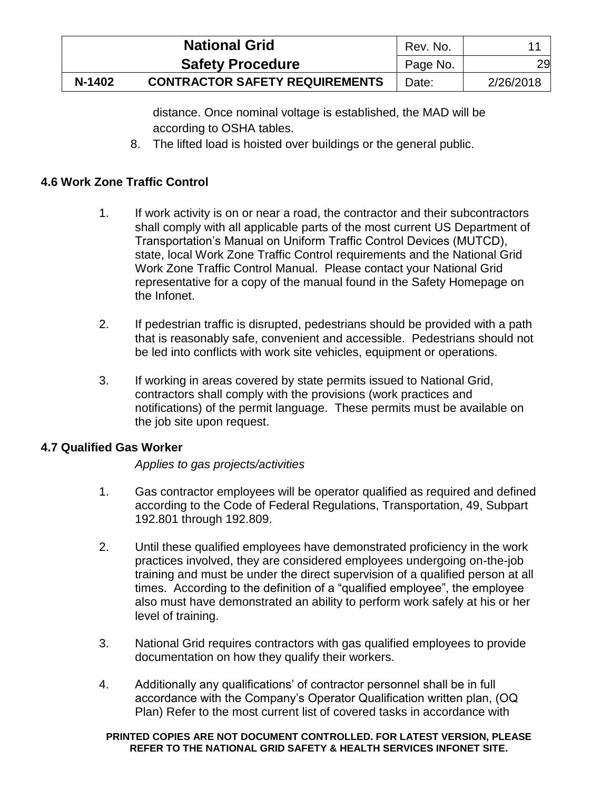|        | <b>National Grid</b>                  | Rev. No. |           |
|--------|---------------------------------------|----------|-----------|
|        | <b>Safety Procedure</b>               | Page No. | 29        |
| N-1402 | <b>CONTRACTOR SAFETY REQUIREMENTS</b> | Date:    | 2/26/2018 |

distance. Once nominal voltage is established, the MAD will be according to OSHA tables.

8. The lifted load is hoisted over buildings or the general public.

# <span id="page-33-0"></span>**4.6 Work Zone Traffic Control**

- 1. If work activity is on or near a road, the contractor and their subcontractors shall comply with all applicable parts of the most current US Department of Transportation's Manual on Uniform Traffic Control Devices (MUTCD), state, local Work Zone Traffic Control requirements and the National Grid Work Zone Traffic Control Manual. Please contact your National Grid representative for a copy of the manual found in the Safety Homepage on the Infonet.
- 2. If pedestrian traffic is disrupted, pedestrians should be provided with a path that is reasonably safe, convenient and accessible. Pedestrians should not be led into conflicts with work site vehicles, equipment or operations.
- 3. If working in areas covered by state permits issued to National Grid, contractors shall comply with the provisions (work practices and notifications) of the permit language. These permits must be available on the job site upon request.

### <span id="page-33-1"></span>**4.7 Qualified Gas Worker**

*Applies to gas projects/activities*

- 1. Gas contractor employees will be operator qualified as required and defined according to the Code of Federal Regulations, Transportation, 49, Subpart 192.801 through 192.809.
- 2. Until these qualified employees have demonstrated proficiency in the work practices involved, they are considered employees undergoing on-the-job training and must be under the direct supervision of a qualified person at all times. According to the definition of a "qualified employee", the employee also must have demonstrated an ability to perform work safely at his or her level of training.
- 3. National Grid requires contractors with gas qualified employees to provide documentation on how they qualify their workers.
- 4. Additionally any qualifications' of contractor personnel shall be in full accordance with the Company's Operator Qualification written plan, (OQ Plan) Refer to the most current list of covered tasks in accordance with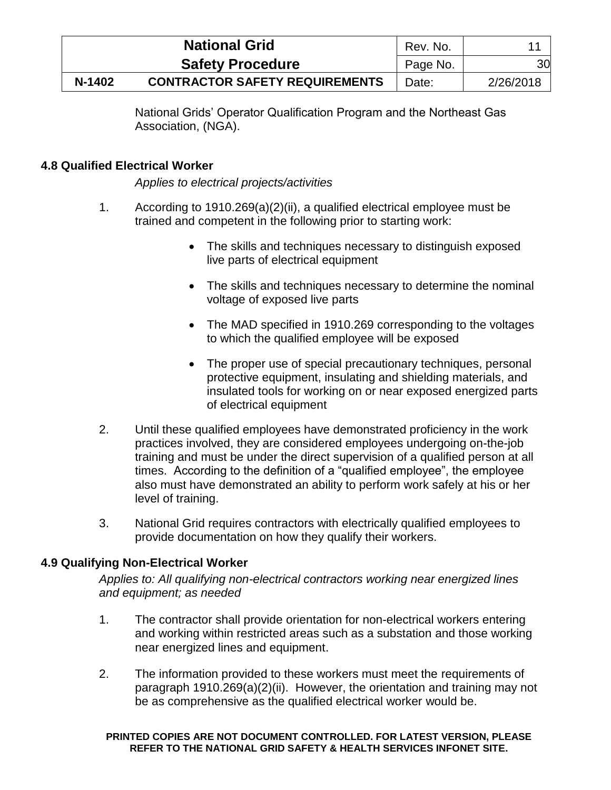|        | <b>National Grid</b>                  | Rev. No. |           |
|--------|---------------------------------------|----------|-----------|
|        | <b>Safety Procedure</b>               | Page No. | 30        |
| N-1402 | <b>CONTRACTOR SAFETY REQUIREMENTS</b> | Date:    | 2/26/2018 |

National Grids' Operator Qualification Program and the Northeast Gas Association, (NGA).

# <span id="page-34-0"></span>**4.8 Qualified Electrical Worker**

*Applies to electrical projects/activities*

- 1. According to 1910.269(a)(2)(ii), a qualified electrical employee must be trained and competent in the following prior to starting work:
	- The skills and techniques necessary to distinguish exposed live parts of electrical equipment
	- The skills and techniques necessary to determine the nominal voltage of exposed live parts
	- The MAD specified in 1910.269 corresponding to the voltages to which the qualified employee will be exposed
	- The proper use of special precautionary techniques, personal protective equipment, insulating and shielding materials, and insulated tools for working on or near exposed energized parts of electrical equipment
- 2. Until these qualified employees have demonstrated proficiency in the work practices involved, they are considered employees undergoing on-the-job training and must be under the direct supervision of a qualified person at all times. According to the definition of a "qualified employee", the employee also must have demonstrated an ability to perform work safely at his or her level of training.
- 3. National Grid requires contractors with electrically qualified employees to provide documentation on how they qualify their workers.

# <span id="page-34-1"></span>**4.9 Qualifying Non-Electrical Worker**

*Applies to: All qualifying non-electrical contractors working near energized lines and equipment; as needed*

- 1. The contractor shall provide orientation for non-electrical workers entering and working within restricted areas such as a substation and those working near energized lines and equipment.
- 2. The information provided to these workers must meet the requirements of paragraph 1910.269(a)(2)(ii). However, the orientation and training may not be as comprehensive as the qualified electrical worker would be.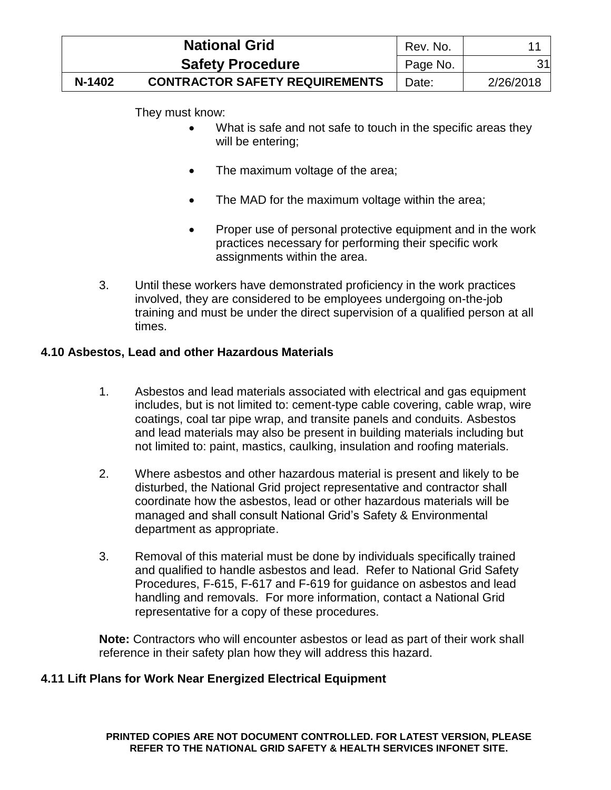|        | <b>National Grid</b>                  | Rev. No. |           |
|--------|---------------------------------------|----------|-----------|
|        | <b>Safety Procedure</b>               | Page No. | 31        |
| N-1402 | <b>CONTRACTOR SAFETY REQUIREMENTS</b> | Date:    | 2/26/2018 |

They must know:

- What is safe and not safe to touch in the specific areas they will be entering;
- The maximum voltage of the area;
- The MAD for the maximum voltage within the area;
- Proper use of personal protective equipment and in the work practices necessary for performing their specific work assignments within the area.
- 3. Until these workers have demonstrated proficiency in the work practices involved, they are considered to be employees undergoing on-the-job training and must be under the direct supervision of a qualified person at all times.

# <span id="page-35-0"></span>**4.10 Asbestos, Lead and other Hazardous Materials**

- 1. Asbestos and lead materials associated with electrical and gas equipment includes, but is not limited to: cement-type cable covering, cable wrap, wire coatings, coal tar pipe wrap, and transite panels and conduits. Asbestos and lead materials may also be present in building materials including but not limited to: paint, mastics, caulking, insulation and roofing materials.
- 2. Where asbestos and other hazardous material is present and likely to be disturbed, the National Grid project representative and contractor shall coordinate how the asbestos, lead or other hazardous materials will be managed and shall consult National Grid's Safety & Environmental department as appropriate.
- 3. Removal of this material must be done by individuals specifically trained and qualified to handle asbestos and lead. Refer to National Grid Safety Procedures, F-615, F-617 and F-619 for guidance on asbestos and lead handling and removals. For more information, contact a National Grid representative for a copy of these procedures.

**Note:** Contractors who will encounter asbestos or lead as part of their work shall reference in their safety plan how they will address this hazard.

# <span id="page-35-1"></span>**4.11 Lift Plans for Work Near Energized Electrical Equipment**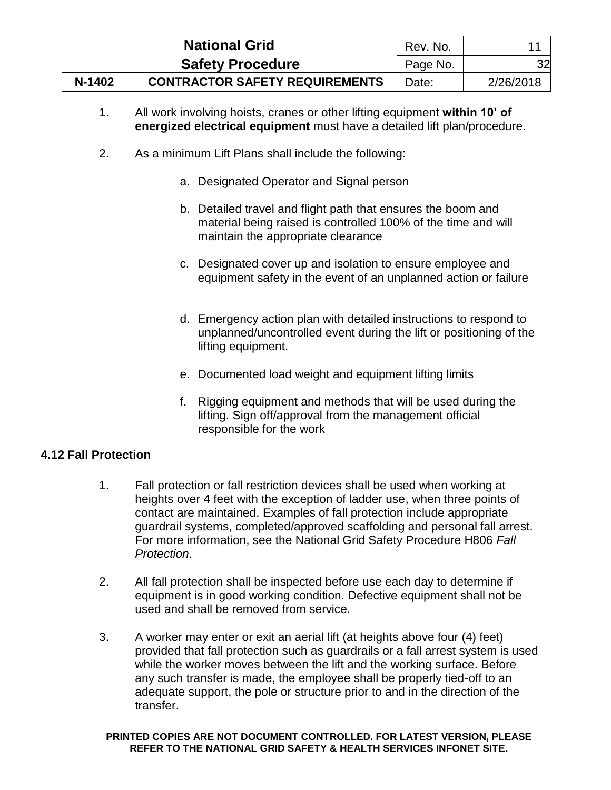|        | <b>National Grid</b>                  | Rev. No. |           |
|--------|---------------------------------------|----------|-----------|
|        | <b>Safety Procedure</b>               | Page No. | 32        |
| N-1402 | <b>CONTRACTOR SAFETY REQUIREMENTS</b> | Date:    | 2/26/2018 |

- 1. All work involving hoists, cranes or other lifting equipment **within 10' of energized electrical equipment** must have a detailed lift plan/procedure.
- 2. As a minimum Lift Plans shall include the following:
	- a. Designated Operator and Signal person
	- b. Detailed travel and flight path that ensures the boom and material being raised is controlled 100% of the time and will maintain the appropriate clearance
	- c. Designated cover up and isolation to ensure employee and equipment safety in the event of an unplanned action or failure
	- d. Emergency action plan with detailed instructions to respond to unplanned/uncontrolled event during the lift or positioning of the lifting equipment.
	- e. Documented load weight and equipment lifting limits
	- f. Rigging equipment and methods that will be used during the lifting. Sign off/approval from the management official responsible for the work

### <span id="page-36-0"></span>**4.12 Fall Protection**

- 1. Fall protection or fall restriction devices shall be used when working at heights over 4 feet with the exception of ladder use, when three points of contact are maintained. Examples of fall protection include appropriate guardrail systems, completed/approved scaffolding and personal fall arrest. For more information, see the National Grid Safety Procedure H806 *Fall Protection*.
- 2. All fall protection shall be inspected before use each day to determine if equipment is in good working condition. Defective equipment shall not be used and shall be removed from service.
- 3. A worker may enter or exit an aerial lift (at heights above four (4) feet) provided that fall protection such as guardrails or a fall arrest system is used while the worker moves between the lift and the working surface. Before any such transfer is made, the employee shall be properly tied-off to an adequate support, the pole or structure prior to and in the direction of the transfer.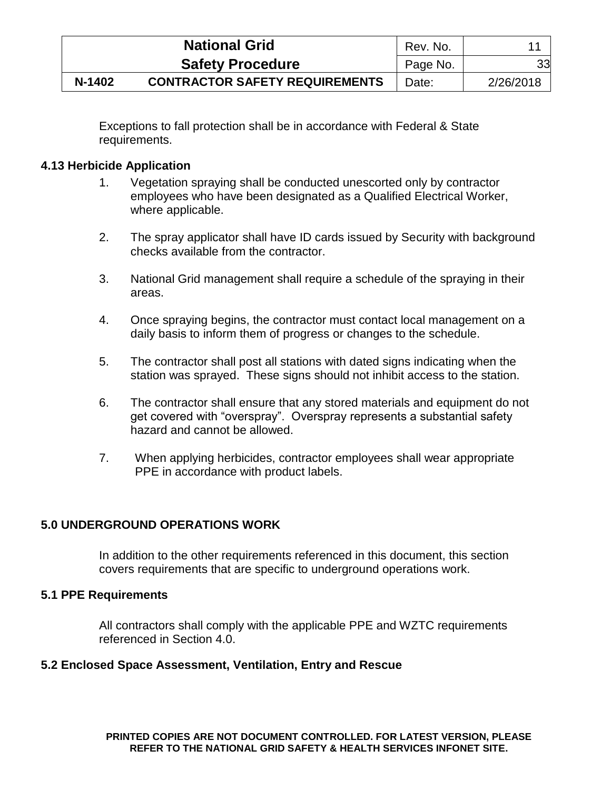|        | <b>National Grid</b>                  | Rev. No. |           |
|--------|---------------------------------------|----------|-----------|
|        | <b>Safety Procedure</b>               | Page No. | 33        |
| N-1402 | <b>CONTRACTOR SAFETY REQUIREMENTS</b> | Date:    | 2/26/2018 |

Exceptions to fall protection shall be in accordance with Federal & State requirements.

# <span id="page-37-0"></span>**4.13 Herbicide Application**

- 1. Vegetation spraying shall be conducted unescorted only by contractor employees who have been designated as a Qualified Electrical Worker, where applicable.
- 2. The spray applicator shall have ID cards issued by Security with background checks available from the contractor.
- 3. National Grid management shall require a schedule of the spraying in their areas.
- 4. Once spraying begins, the contractor must contact local management on a daily basis to inform them of progress or changes to the schedule.
- 5. The contractor shall post all stations with dated signs indicating when the station was sprayed. These signs should not inhibit access to the station.
- 6. The contractor shall ensure that any stored materials and equipment do not get covered with "overspray". Overspray represents a substantial safety hazard and cannot be allowed.
- 7. When applying herbicides, contractor employees shall wear appropriate PPE in accordance with product labels.

# <span id="page-37-1"></span>**5.0 UNDERGROUND OPERATIONS WORK**

In addition to the other requirements referenced in this document, this section covers requirements that are specific to underground operations work.

### <span id="page-37-2"></span>**5.1 PPE Requirements**

All contractors shall comply with the applicable PPE and WZTC requirements referenced in Section 4.0.

### <span id="page-37-3"></span>**5.2 Enclosed Space Assessment, Ventilation, Entry and Rescue**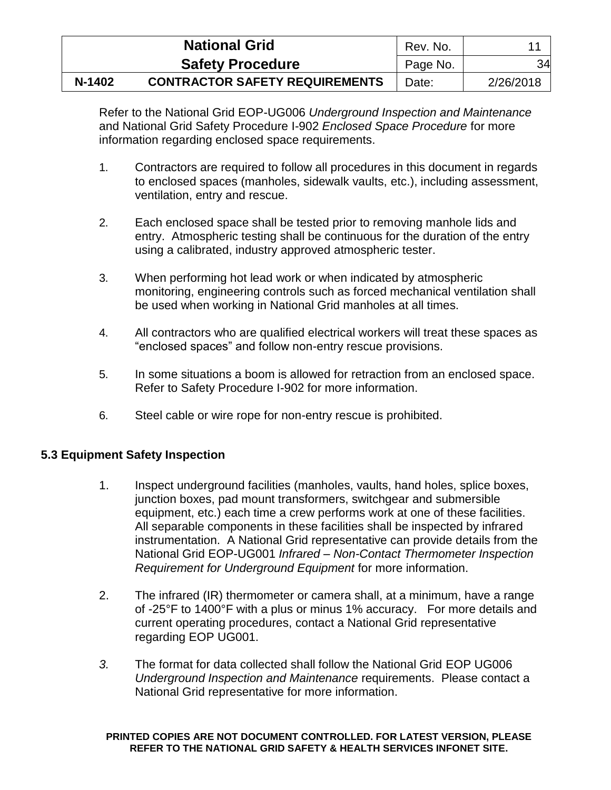|        | <b>National Grid</b>                  | Rev. No. |           |
|--------|---------------------------------------|----------|-----------|
|        | <b>Safety Procedure</b>               | Page No. | 34        |
| N-1402 | <b>CONTRACTOR SAFETY REQUIREMENTS</b> | Date:    | 2/26/2018 |

Refer to the National Grid EOP-UG006 *Underground Inspection and Maintenance*  and National Grid Safety Procedure I-902 *Enclosed Space Procedure* for more information regarding enclosed space requirements.

- 1. Contractors are required to follow all procedures in this document in regards to enclosed spaces (manholes, sidewalk vaults, etc.), including assessment, ventilation, entry and rescue.
- 2. Each enclosed space shall be tested prior to removing manhole lids and entry. Atmospheric testing shall be continuous for the duration of the entry using a calibrated, industry approved atmospheric tester.
- 3. When performing hot lead work or when indicated by atmospheric monitoring, engineering controls such as forced mechanical ventilation shall be used when working in National Grid manholes at all times.
- 4. All contractors who are qualified electrical workers will treat these spaces as "enclosed spaces" and follow non-entry rescue provisions.
- 5. In some situations a boom is allowed for retraction from an enclosed space. Refer to Safety Procedure I-902 for more information.
- 6. Steel cable or wire rope for non-entry rescue is prohibited.

### <span id="page-38-0"></span>**5.3 Equipment Safety Inspection**

- 1. Inspect underground facilities (manholes, vaults, hand holes, splice boxes, junction boxes, pad mount transformers, switchgear and submersible equipment, etc.) each time a crew performs work at one of these facilities. All separable components in these facilities shall be inspected by infrared instrumentation. A National Grid representative can provide details from the National Grid EOP-UG001 *Infrared – Non-Contact Thermometer Inspection Requirement for Underground Equipment* for more information.
- 2. The infrared (IR) thermometer or camera shall, at a minimum, have a range of -25°F to 1400°F with a plus or minus 1% accuracy. For more details and current operating procedures, contact a National Grid representative regarding EOP UG001.
- *3.* The format for data collected shall follow the National Grid EOP UG006 *Underground Inspection and Maintenance* requirements. Please contact a National Grid representative for more information.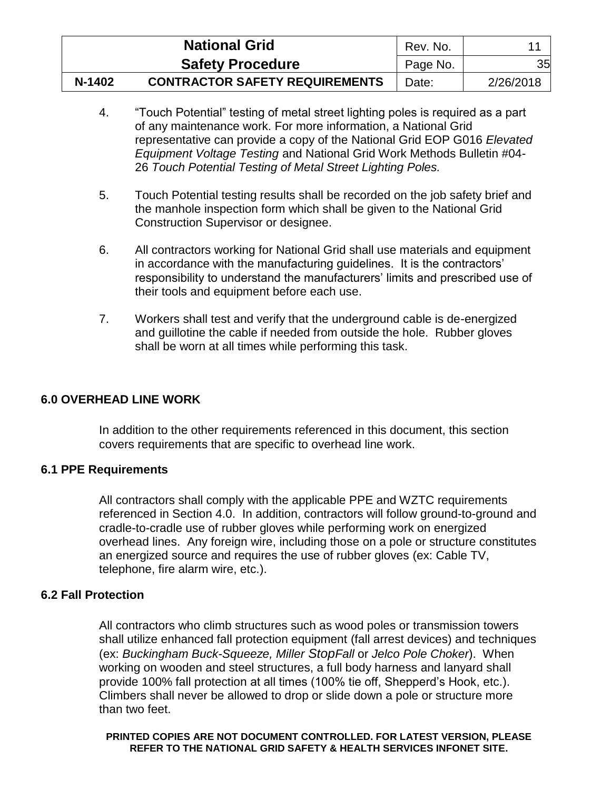|        | <b>National Grid</b>                  | Rev. No. |           |
|--------|---------------------------------------|----------|-----------|
|        | <b>Safety Procedure</b>               | Page No. | 35        |
| N-1402 | <b>CONTRACTOR SAFETY REQUIREMENTS</b> | Date:    | 2/26/2018 |

- 4. "Touch Potential" testing of metal street lighting poles is required as a part of any maintenance work. For more information, a National Grid representative can provide a copy of the National Grid EOP G016 *Elevated Equipment Voltage Testing* and National Grid Work Methods Bulletin #04- 26 *Touch Potential Testing of Metal Street Lighting Poles.*
- 5. Touch Potential testing results shall be recorded on the job safety brief and the manhole inspection form which shall be given to the National Grid Construction Supervisor or designee.
- 6. All contractors working for National Grid shall use materials and equipment in accordance with the manufacturing guidelines. It is the contractors' responsibility to understand the manufacturers' limits and prescribed use of their tools and equipment before each use.
- 7. Workers shall test and verify that the underground cable is de-energized and guillotine the cable if needed from outside the hole. Rubber gloves shall be worn at all times while performing this task.

# <span id="page-39-0"></span>**6.0 OVERHEAD LINE WORK**

In addition to the other requirements referenced in this document, this section covers requirements that are specific to overhead line work.

# <span id="page-39-1"></span>**6.1 PPE Requirements**

All contractors shall comply with the applicable PPE and WZTC requirements referenced in Section 4.0. In addition, contractors will follow ground-to-ground and cradle-to-cradle use of rubber gloves while performing work on energized overhead lines. Any foreign wire, including those on a pole or structure constitutes an energized source and requires the use of rubber gloves (ex: Cable TV, telephone, fire alarm wire, etc.).

# <span id="page-39-2"></span>**6.2 Fall Protection**

All contractors who climb structures such as wood poles or transmission towers shall utilize enhanced fall protection equipment (fall arrest devices) and techniques (ex: *Buckingham Buck-Squeeze, Miller StopFall* or *Jelco Pole Choker*). When working on wooden and steel structures, a full body harness and lanyard shall provide 100% fall protection at all times (100% tie off, Shepperd's Hook, etc.). Climbers shall never be allowed to drop or slide down a pole or structure more than two feet.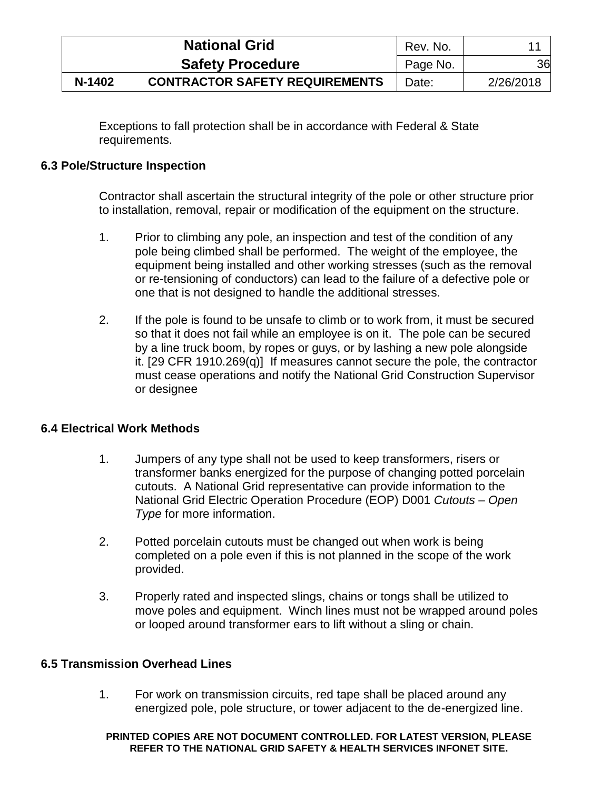|        | <b>National Grid</b>                  | Rev. No. |           |
|--------|---------------------------------------|----------|-----------|
|        | <b>Safety Procedure</b>               | Page No. | 36        |
| N-1402 | <b>CONTRACTOR SAFETY REQUIREMENTS</b> | Date:    | 2/26/2018 |

Exceptions to fall protection shall be in accordance with Federal & State requirements.

## <span id="page-40-0"></span>**6.3 Pole/Structure Inspection**

Contractor shall ascertain the structural integrity of the pole or other structure prior to installation, removal, repair or modification of the equipment on the structure.

- 1. Prior to climbing any pole, an inspection and test of the condition of any pole being climbed shall be performed. The weight of the employee, the equipment being installed and other working stresses (such as the removal or re-tensioning of conductors) can lead to the failure of a defective pole or one that is not designed to handle the additional stresses.
- 2. If the pole is found to be unsafe to climb or to work from, it must be secured so that it does not fail while an employee is on it. The pole can be secured by a line truck boom, by ropes or guys, or by lashing a new pole alongside it. [29 CFR 1910.269(q)] If measures cannot secure the pole, the contractor must cease operations and notify the National Grid Construction Supervisor or designee

### <span id="page-40-1"></span>**6.4 Electrical Work Methods**

- 1. Jumpers of any type shall not be used to keep transformers, risers or transformer banks energized for the purpose of changing potted porcelain cutouts. A National Grid representative can provide information to the National Grid Electric Operation Procedure (EOP) D001 *Cutouts – Open Type* for more information.
- 2. Potted porcelain cutouts must be changed out when work is being completed on a pole even if this is not planned in the scope of the work provided.
- 3. Properly rated and inspected slings, chains or tongs shall be utilized to move poles and equipment. Winch lines must not be wrapped around poles or looped around transformer ears to lift without a sling or chain.

### <span id="page-40-2"></span>**6.5 Transmission Overhead Lines**

1. For work on transmission circuits, red tape shall be placed around any energized pole, pole structure, or tower adjacent to the de-energized line.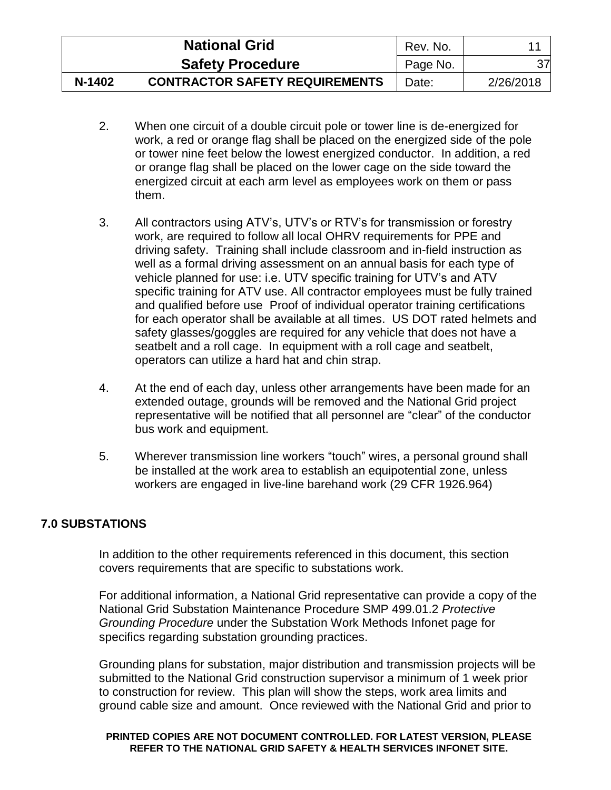|        | <b>National Grid</b>                  | Rev. No. |           |
|--------|---------------------------------------|----------|-----------|
|        | <b>Safety Procedure</b>               | Page No. | 37        |
| N-1402 | <b>CONTRACTOR SAFETY REQUIREMENTS</b> | Date:    | 2/26/2018 |

- 2. When one circuit of a double circuit pole or tower line is de-energized for work, a red or orange flag shall be placed on the energized side of the pole or tower nine feet below the lowest energized conductor. In addition, a red or orange flag shall be placed on the lower cage on the side toward the energized circuit at each arm level as employees work on them or pass them.
- 3. All contractors using ATV's, UTV's or RTV's for transmission or forestry work, are required to follow all local OHRV requirements for PPE and driving safety. Training shall include classroom and in-field instruction as well as a formal driving assessment on an annual basis for each type of vehicle planned for use: i.e. UTV specific training for UTV's and ATV specific training for ATV use. All contractor employees must be fully trained and qualified before use Proof of individual operator training certifications for each operator shall be available at all times. US DOT rated helmets and safety glasses/goggles are required for any vehicle that does not have a seatbelt and a roll cage. In equipment with a roll cage and seatbelt, operators can utilize a hard hat and chin strap.
- 4. At the end of each day, unless other arrangements have been made for an extended outage, grounds will be removed and the National Grid project representative will be notified that all personnel are "clear" of the conductor bus work and equipment.
- 5. Wherever transmission line workers "touch" wires, a personal ground shall be installed at the work area to establish an equipotential zone, unless workers are engaged in live-line barehand work (29 CFR 1926.964)

# <span id="page-41-0"></span>**7.0 SUBSTATIONS**

In addition to the other requirements referenced in this document, this section covers requirements that are specific to substations work.

For additional information, a National Grid representative can provide a copy of the National Grid Substation Maintenance Procedure SMP 499.01.2 *Protective Grounding Procedure* under the Substation Work Methods Infonet page for specifics regarding substation grounding practices.

Grounding plans for substation, major distribution and transmission projects will be submitted to the National Grid construction supervisor a minimum of 1 week prior to construction for review. This plan will show the steps, work area limits and ground cable size and amount. Once reviewed with the National Grid and prior to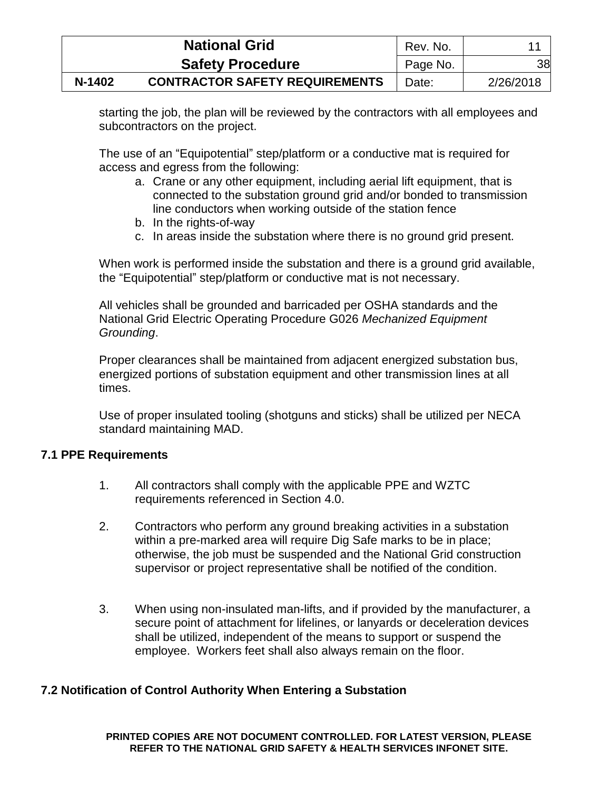|        | <b>National Grid</b>                  | Rev. No. |           |
|--------|---------------------------------------|----------|-----------|
|        | <b>Safety Procedure</b>               | Page No. | 38        |
| N-1402 | <b>CONTRACTOR SAFETY REQUIREMENTS</b> | Date:    | 2/26/2018 |

starting the job, the plan will be reviewed by the contractors with all employees and subcontractors on the project.

The use of an "Equipotential" step/platform or a conductive mat is required for access and egress from the following:

- a. Crane or any other equipment, including aerial lift equipment, that is connected to the substation ground grid and/or bonded to transmission line conductors when working outside of the station fence
- b. In the rights-of-way
- c. In areas inside the substation where there is no ground grid present.

When work is performed inside the substation and there is a ground grid available, the "Equipotential" step/platform or conductive mat is not necessary.

All vehicles shall be grounded and barricaded per OSHA standards and the National Grid Electric Operating Procedure G026 *Mechanized Equipment Grounding*.

Proper clearances shall be maintained from adjacent energized substation bus, energized portions of substation equipment and other transmission lines at all times.

Use of proper insulated tooling (shotguns and sticks) shall be utilized per NECA standard maintaining MAD.

### <span id="page-42-0"></span>**7.1 PPE Requirements**

- 1. All contractors shall comply with the applicable PPE and WZTC requirements referenced in Section 4.0.
- 2. Contractors who perform any ground breaking activities in a substation within a pre-marked area will require Dig Safe marks to be in place; otherwise, the job must be suspended and the National Grid construction supervisor or project representative shall be notified of the condition.
- 3. When using non-insulated man-lifts, and if provided by the manufacturer, a secure point of attachment for lifelines, or lanyards or deceleration devices shall be utilized, independent of the means to support or suspend the employee. Workers feet shall also always remain on the floor.

### <span id="page-42-1"></span>**7.2 Notification of Control Authority When Entering a Substation**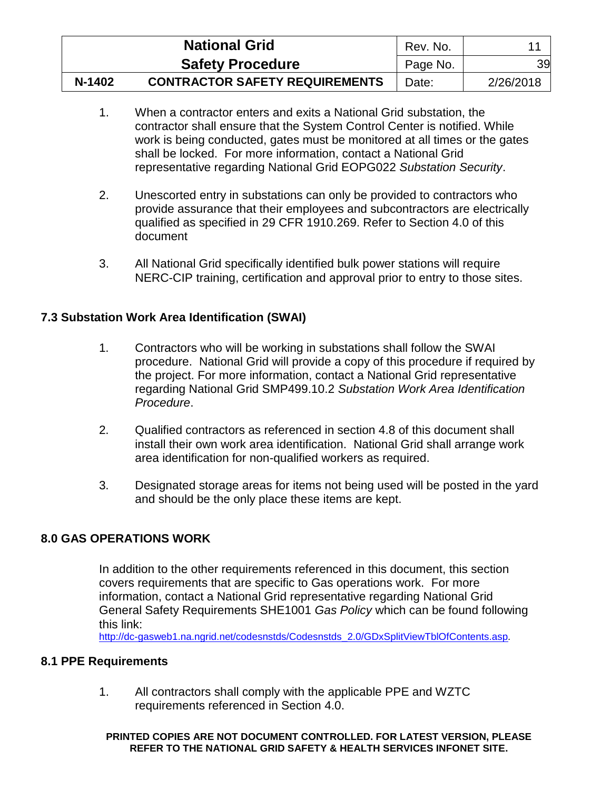|        | <b>National Grid</b>                  | Rev. No. |           |
|--------|---------------------------------------|----------|-----------|
|        | <b>Safety Procedure</b>               | Page No. | 39        |
| N-1402 | <b>CONTRACTOR SAFETY REQUIREMENTS</b> | Date:    | 2/26/2018 |

- 1. When a contractor enters and exits a National Grid substation, the contractor shall ensure that the System Control Center is notified. While work is being conducted, gates must be monitored at all times or the gates shall be locked. For more information, contact a National Grid representative regarding National Grid EOPG022 *Substation Security*.
- 2. Unescorted entry in substations can only be provided to contractors who provide assurance that their employees and subcontractors are electrically qualified as specified in 29 CFR 1910.269. Refer to Section 4.0 of this document
- 3. All National Grid specifically identified bulk power stations will require NERC-CIP training, certification and approval prior to entry to those sites.

# <span id="page-43-0"></span>**7.3 Substation Work Area Identification (SWAI)**

- 1. Contractors who will be working in substations shall follow the SWAI procedure. National Grid will provide a copy of this procedure if required by the project. For more information, contact a National Grid representative regarding National Grid SMP499.10.2 *Substation Work Area Identification Procedure*.
- 2. Qualified contractors as referenced in section 4.8 of this document shall install their own work area identification. National Grid shall arrange work area identification for non-qualified workers as required.
- 3. Designated storage areas for items not being used will be posted in the yard and should be the only place these items are kept.

### <span id="page-43-1"></span>**8.0 GAS OPERATIONS WORK**

In addition to the other requirements referenced in this document, this section covers requirements that are specific to Gas operations work. For more information, contact a National Grid representative regarding National Grid General Safety Requirements SHE1001 *Gas Policy* which can be found following this link:

[http://dc-gasweb1.na.ngrid.net/codesnstds/Codesnstds\\_2.0/GDxSplitViewTblOfContents.asp](http://dc-gasweb1.na.ngrid.net/codesnstds/Codesnstds_2.0/GDxSplitViewTblOfContents.asp)*.*

### <span id="page-43-2"></span>**8.1 PPE Requirements**

1. All contractors shall comply with the applicable PPE and WZTC requirements referenced in Section 4.0.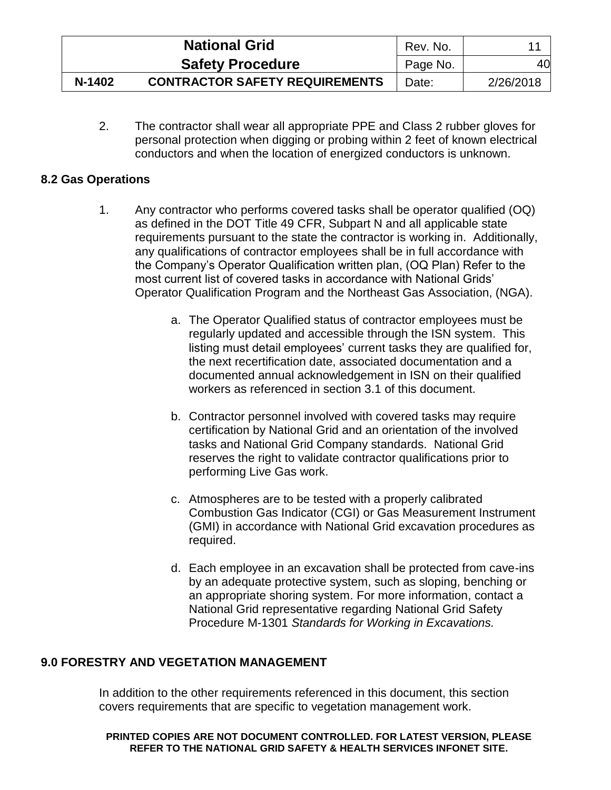|        | <b>National Grid</b>                  | Rev. No. |           |
|--------|---------------------------------------|----------|-----------|
|        | <b>Safety Procedure</b>               | Page No. | 40        |
| N-1402 | <b>CONTRACTOR SAFETY REQUIREMENTS</b> | Date:    | 2/26/2018 |

2. The contractor shall wear all appropriate PPE and Class 2 rubber gloves for personal protection when digging or probing within 2 feet of known electrical conductors and when the location of energized conductors is unknown.

### <span id="page-44-0"></span>**8.2 Gas Operations**

- 1. Any contractor who performs covered tasks shall be operator qualified (OQ) as defined in the DOT Title 49 CFR, Subpart N and all applicable state requirements pursuant to the state the contractor is working in. Additionally, any qualifications of contractor employees shall be in full accordance with the Company's Operator Qualification written plan, (OQ Plan) Refer to the most current list of covered tasks in accordance with National Grids' Operator Qualification Program and the Northeast Gas Association, (NGA).
	- a. The Operator Qualified status of contractor employees must be regularly updated and accessible through the ISN system. This listing must detail employees' current tasks they are qualified for, the next recertification date, associated documentation and a documented annual acknowledgement in ISN on their qualified workers as referenced in section 3.1 of this document.
	- b. Contractor personnel involved with covered tasks may require certification by National Grid and an orientation of the involved tasks and National Grid Company standards. National Grid reserves the right to validate contractor qualifications prior to performing Live Gas work.
	- c. Atmospheres are to be tested with a properly calibrated Combustion Gas Indicator (CGI) or Gas Measurement Instrument (GMI) in accordance with National Grid excavation procedures as required.
	- d. Each employee in an excavation shall be protected from cave-ins by an adequate protective system, such as sloping, benching or an appropriate shoring system. For more information, contact a National Grid representative regarding National Grid Safety Procedure M-1301 *Standards for Working in Excavations.*

# <span id="page-44-1"></span>**9.0 FORESTRY AND VEGETATION MANAGEMENT**

In addition to the other requirements referenced in this document, this section covers requirements that are specific to vegetation management work.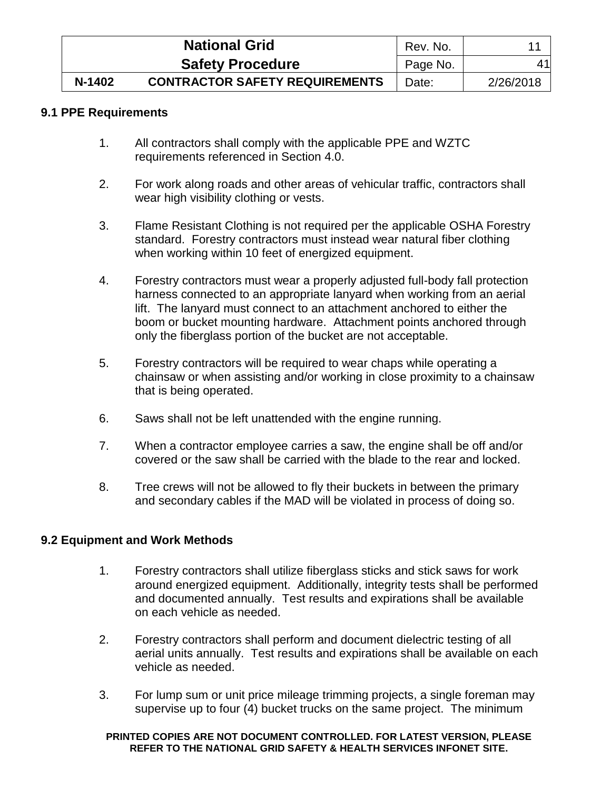|        | <b>National Grid</b>                  | Rev. No. |           |
|--------|---------------------------------------|----------|-----------|
|        | <b>Safety Procedure</b>               | Page No. | 41        |
| N-1402 | <b>CONTRACTOR SAFETY REQUIREMENTS</b> | Date:    | 2/26/2018 |

### <span id="page-45-0"></span>**9.1 PPE Requirements**

- 1. All contractors shall comply with the applicable PPE and WZTC requirements referenced in Section 4.0.
- 2. For work along roads and other areas of vehicular traffic, contractors shall wear high visibility clothing or vests.
- 3. Flame Resistant Clothing is not required per the applicable OSHA Forestry standard. Forestry contractors must instead wear natural fiber clothing when working within 10 feet of energized equipment.
- 4. Forestry contractors must wear a properly adjusted full-body fall protection harness connected to an appropriate lanyard when working from an aerial lift. The lanyard must connect to an attachment anchored to either the boom or bucket mounting hardware. Attachment points anchored through only the fiberglass portion of the bucket are not acceptable.
- 5. Forestry contractors will be required to wear chaps while operating a chainsaw or when assisting and/or working in close proximity to a chainsaw that is being operated.
- 6. Saws shall not be left unattended with the engine running.
- 7. When a contractor employee carries a saw, the engine shall be off and/or covered or the saw shall be carried with the blade to the rear and locked.
- 8. Tree crews will not be allowed to fly their buckets in between the primary and secondary cables if the MAD will be violated in process of doing so.

# <span id="page-45-1"></span>**9.2 Equipment and Work Methods**

- 1. Forestry contractors shall utilize fiberglass sticks and stick saws for work around energized equipment. Additionally, integrity tests shall be performed and documented annually. Test results and expirations shall be available on each vehicle as needed.
- 2. Forestry contractors shall perform and document dielectric testing of all aerial units annually. Test results and expirations shall be available on each vehicle as needed.
- 3. For lump sum or unit price mileage trimming projects, a single foreman may supervise up to four (4) bucket trucks on the same project. The minimum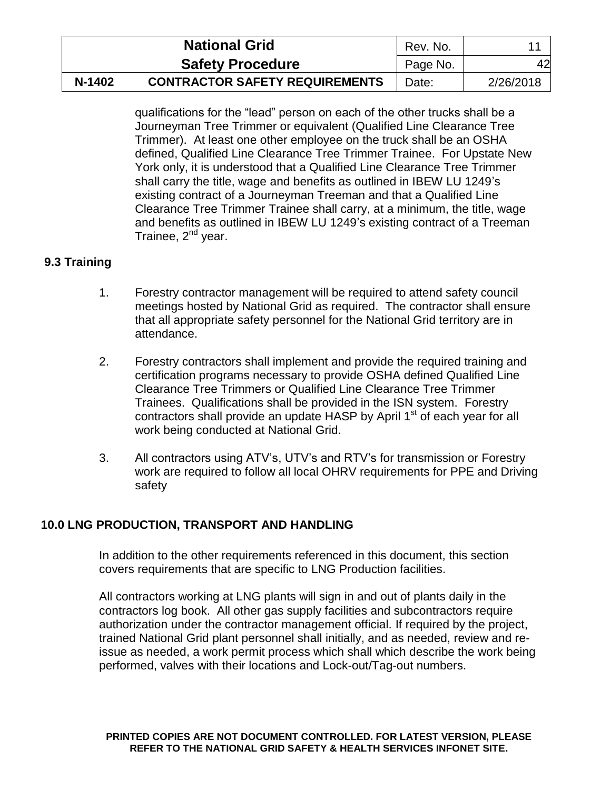|        | <b>National Grid</b>                  | Rev. No. |           |
|--------|---------------------------------------|----------|-----------|
|        | <b>Safety Procedure</b>               | Page No. | 42        |
| N-1402 | <b>CONTRACTOR SAFETY REQUIREMENTS</b> | Date:    | 2/26/2018 |

qualifications for the "lead" person on each of the other trucks shall be a Journeyman Tree Trimmer or equivalent (Qualified Line Clearance Tree Trimmer). At least one other employee on the truck shall be an OSHA defined, Qualified Line Clearance Tree Trimmer Trainee. For Upstate New York only, it is understood that a Qualified Line Clearance Tree Trimmer shall carry the title, wage and benefits as outlined in IBEW LU 1249's existing contract of a Journeyman Treeman and that a Qualified Line Clearance Tree Trimmer Trainee shall carry, at a minimum, the title, wage and benefits as outlined in IBEW LU 1249's existing contract of a Treeman Trainee, 2<sup>nd</sup> year.

# <span id="page-46-0"></span>**9.3 Training**

- 1. Forestry contractor management will be required to attend safety council meetings hosted by National Grid as required. The contractor shall ensure that all appropriate safety personnel for the National Grid territory are in attendance.
- 2. Forestry contractors shall implement and provide the required training and certification programs necessary to provide OSHA defined Qualified Line Clearance Tree Trimmers or Qualified Line Clearance Tree Trimmer Trainees. Qualifications shall be provided in the ISN system. Forestry contractors shall provide an update HASP by April 1<sup>st</sup> of each year for all work being conducted at National Grid.
- 3. All contractors using ATV's, UTV's and RTV's for transmission or Forestry work are required to follow all local OHRV requirements for PPE and Driving safety

# <span id="page-46-1"></span>**10.0 LNG PRODUCTION, TRANSPORT AND HANDLING**

In addition to the other requirements referenced in this document, this section covers requirements that are specific to LNG Production facilities.

All contractors working at LNG plants will sign in and out of plants daily in the contractors log book. All other gas supply facilities and subcontractors require authorization under the contractor management official. If required by the project, trained National Grid plant personnel shall initially, and as needed, review and reissue as needed, a work permit process which shall which describe the work being performed, valves with their locations and Lock-out/Tag-out numbers.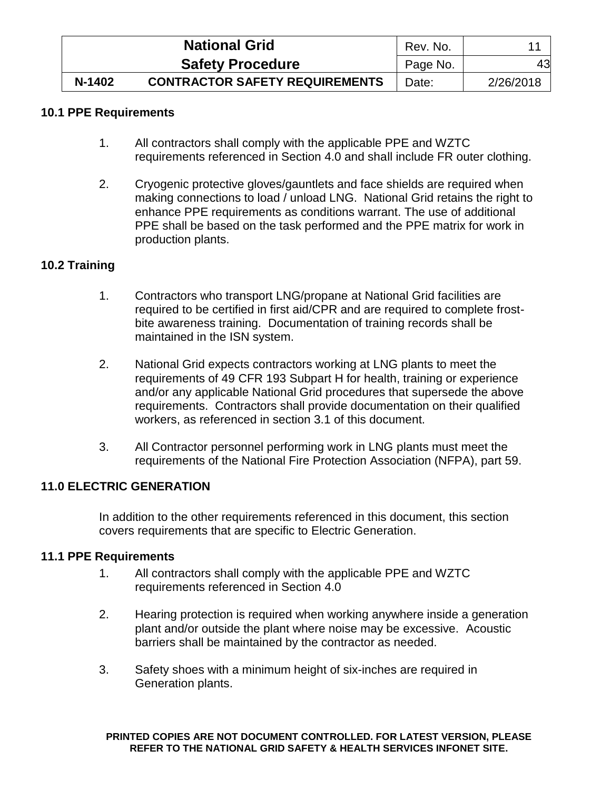|        | <b>National Grid</b>                  | Rev. No. |           |
|--------|---------------------------------------|----------|-----------|
|        | <b>Safety Procedure</b>               | Page No. | 43        |
| N-1402 | <b>CONTRACTOR SAFETY REQUIREMENTS</b> | Date:    | 2/26/2018 |

## <span id="page-47-0"></span>**10.1 PPE Requirements**

- 1. All contractors shall comply with the applicable PPE and WZTC requirements referenced in Section 4.0 and shall include FR outer clothing.
- 2. Cryogenic protective gloves/gauntlets and face shields are required when making connections to load / unload LNG. National Grid retains the right to enhance PPE requirements as conditions warrant. The use of additional PPE shall be based on the task performed and the PPE matrix for work in production plants.

# <span id="page-47-1"></span>**10.2 Training**

- 1. Contractors who transport LNG/propane at National Grid facilities are required to be certified in first aid/CPR and are required to complete frostbite awareness training. Documentation of training records shall be maintained in the ISN system.
- 2. National Grid expects contractors working at LNG plants to meet the requirements of 49 CFR 193 Subpart H for health, training or experience and/or any applicable National Grid procedures that supersede the above requirements. Contractors shall provide documentation on their qualified workers, as referenced in section 3.1 of this document.
- 3. All Contractor personnel performing work in LNG plants must meet the requirements of the National Fire Protection Association (NFPA), part 59.

### <span id="page-47-2"></span>**11.0 ELECTRIC GENERATION**

In addition to the other requirements referenced in this document, this section covers requirements that are specific to Electric Generation.

### <span id="page-47-3"></span>**11.1 PPE Requirements**

- 1. All contractors shall comply with the applicable PPE and WZTC requirements referenced in Section 4.0
- 2. Hearing protection is required when working anywhere inside a generation plant and/or outside the plant where noise may be excessive. Acoustic barriers shall be maintained by the contractor as needed.
- 3. Safety shoes with a minimum height of six-inches are required in Generation plants.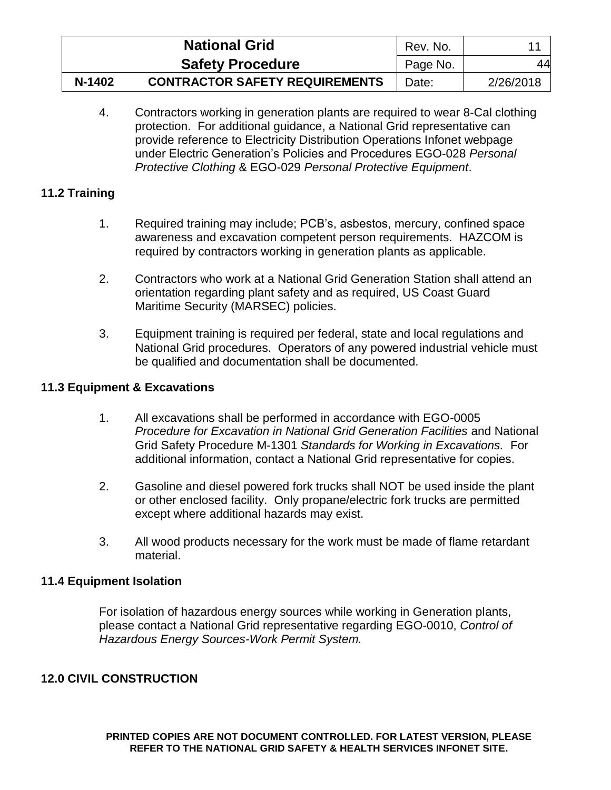|        | <b>National Grid</b>                  | Rev. No. |           |
|--------|---------------------------------------|----------|-----------|
|        | <b>Safety Procedure</b>               | Page No. | 44        |
| N-1402 | <b>CONTRACTOR SAFETY REQUIREMENTS</b> | Date:    | 2/26/2018 |

4. Contractors working in generation plants are required to wear 8-Cal clothing protection. For additional guidance, a National Grid representative can provide reference to Electricity Distribution Operations Infonet webpage under Electric Generation's Policies and Procedures EGO-028 *Personal Protective Clothing* & EGO-029 *Personal Protective Equipment*.

# <span id="page-48-0"></span>**11.2 Training**

- 1. Required training may include; PCB's, asbestos, mercury, confined space awareness and excavation competent person requirements. HAZCOM is required by contractors working in generation plants as applicable.
- 2. Contractors who work at a National Grid Generation Station shall attend an orientation regarding plant safety and as required, US Coast Guard Maritime Security (MARSEC) policies.
- 3. Equipment training is required per federal, state and local regulations and National Grid procedures. Operators of any powered industrial vehicle must be qualified and documentation shall be documented.

# <span id="page-48-1"></span>**11.3 Equipment & Excavations**

- 1. All excavations shall be performed in accordance with EGO-0005 *Procedure for Excavation in National Grid Generation Facilities* and National Grid Safety Procedure M-1301 *Standards for Working in Excavations.* For additional information, contact a National Grid representative for copies.
- 2. Gasoline and diesel powered fork trucks shall NOT be used inside the plant or other enclosed facility. Only propane/electric fork trucks are permitted except where additional hazards may exist.
- 3. All wood products necessary for the work must be made of flame retardant material.

### <span id="page-48-2"></span>**11.4 Equipment Isolation**

For isolation of hazardous energy sources while working in Generation plants, please contact a National Grid representative regarding EGO-0010, *Control of Hazardous Energy Sources-Work Permit System.*

# <span id="page-48-3"></span>**12.0 CIVIL CONSTRUCTION**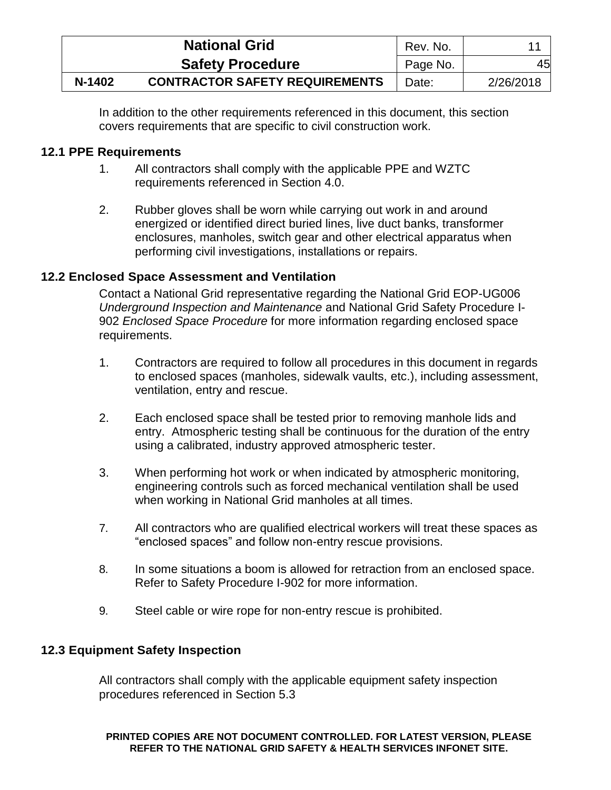|        | <b>National Grid</b>                  | Rev. No. |           |
|--------|---------------------------------------|----------|-----------|
|        | <b>Safety Procedure</b>               | Page No. | 45        |
| N-1402 | <b>CONTRACTOR SAFETY REQUIREMENTS</b> | Date:    | 2/26/2018 |

In addition to the other requirements referenced in this document, this section covers requirements that are specific to civil construction work.

# <span id="page-49-0"></span>**12.1 PPE Requirements**

- 1. All contractors shall comply with the applicable PPE and WZTC requirements referenced in Section 4.0.
- 2. Rubber gloves shall be worn while carrying out work in and around energized or identified direct buried lines, live duct banks, transformer enclosures, manholes, switch gear and other electrical apparatus when performing civil investigations, installations or repairs.

# <span id="page-49-1"></span>**12.2 Enclosed Space Assessment and Ventilation**

Contact a National Grid representative regarding the National Grid EOP-UG006 *Underground Inspection and Maintenance* and National Grid Safety Procedure I-902 *Enclosed Space Procedure* for more information regarding enclosed space requirements.

- 1. Contractors are required to follow all procedures in this document in regards to enclosed spaces (manholes, sidewalk vaults, etc.), including assessment, ventilation, entry and rescue.
- 2. Each enclosed space shall be tested prior to removing manhole lids and entry. Atmospheric testing shall be continuous for the duration of the entry using a calibrated, industry approved atmospheric tester.
- 3. When performing hot work or when indicated by atmospheric monitoring, engineering controls such as forced mechanical ventilation shall be used when working in National Grid manholes at all times.
- 7. All contractors who are qualified electrical workers will treat these spaces as "enclosed spaces" and follow non-entry rescue provisions.
- 8. In some situations a boom is allowed for retraction from an enclosed space. Refer to Safety Procedure I-902 for more information.
- 9. Steel cable or wire rope for non-entry rescue is prohibited.

# <span id="page-49-2"></span>**12.3 Equipment Safety Inspection**

All contractors shall comply with the applicable equipment safety inspection procedures referenced in Section 5.3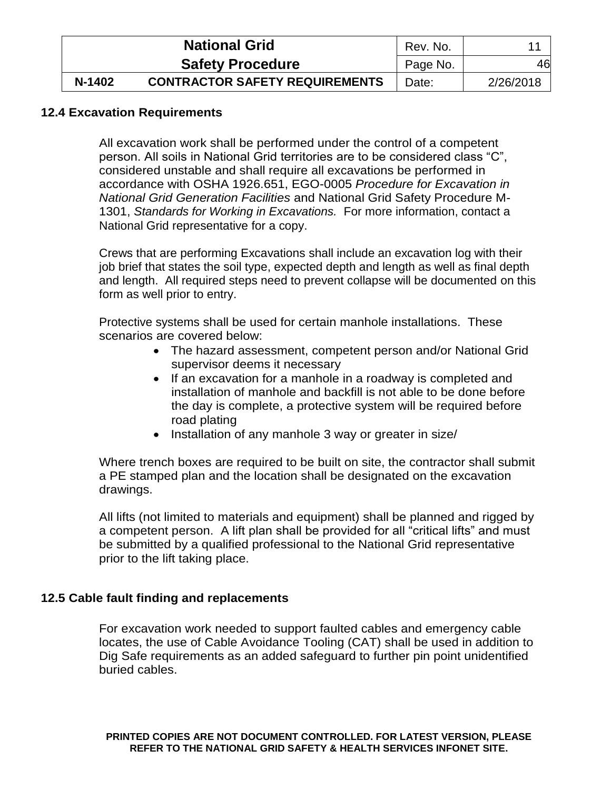|        | <b>National Grid</b>                  | Rev. No. |           |
|--------|---------------------------------------|----------|-----------|
|        | <b>Safety Procedure</b>               | Page No. | 46        |
| N-1402 | <b>CONTRACTOR SAFETY REQUIREMENTS</b> | Date:    | 2/26/2018 |

### <span id="page-50-0"></span>**12.4 Excavation Requirements**

All excavation work shall be performed under the control of a competent person. All soils in National Grid territories are to be considered class "C", considered unstable and shall require all excavations be performed in accordance with OSHA 1926.651, EGO-0005 *Procedure for Excavation in National Grid Generation Facilities* and National Grid Safety Procedure M-1301, *Standards for Working in Excavations.* For more information, contact a National Grid representative for a copy.

Crews that are performing Excavations shall include an excavation log with their job brief that states the soil type, expected depth and length as well as final depth and length. All required steps need to prevent collapse will be documented on this form as well prior to entry.

Protective systems shall be used for certain manhole installations. These scenarios are covered below:

- The hazard assessment, competent person and/or National Grid supervisor deems it necessary
- If an excavation for a manhole in a roadway is completed and installation of manhole and backfill is not able to be done before the day is complete, a protective system will be required before road plating
- Installation of any manhole 3 way or greater in size/

Where trench boxes are required to be built on site, the contractor shall submit a PE stamped plan and the location shall be designated on the excavation drawings.

All lifts (not limited to materials and equipment) shall be planned and rigged by a competent person. A lift plan shall be provided for all "critical lifts" and must be submitted by a qualified professional to the National Grid representative prior to the lift taking place.

### <span id="page-50-1"></span>**12.5 Cable fault finding and replacements**

For excavation work needed to support faulted cables and emergency cable locates, the use of Cable Avoidance Tooling (CAT) shall be used in addition to Dig Safe requirements as an added safeguard to further pin point unidentified buried cables.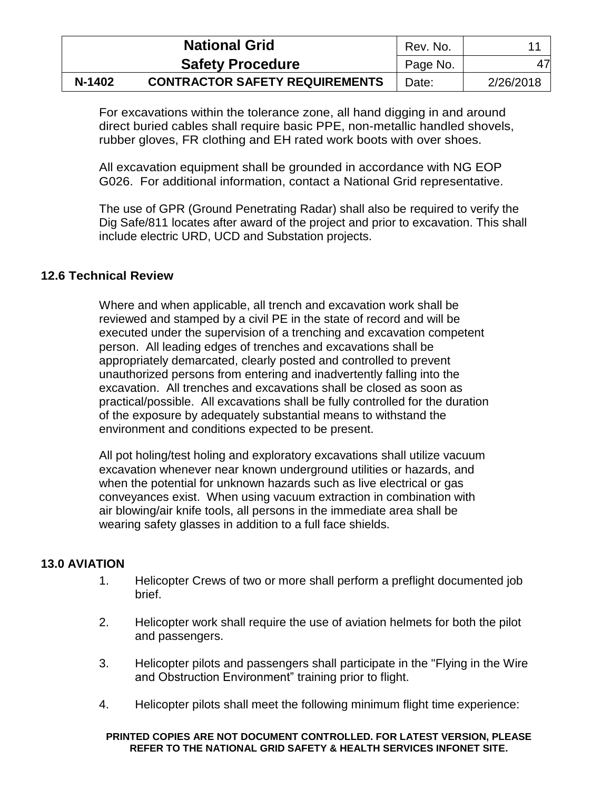|        | <b>National Grid</b>                  | Rev. No. |           |
|--------|---------------------------------------|----------|-----------|
|        | <b>Safety Procedure</b>               | Page No. | 47        |
| N-1402 | <b>CONTRACTOR SAFETY REQUIREMENTS</b> | Date:    | 2/26/2018 |

For excavations within the tolerance zone, all hand digging in and around direct buried cables shall require basic PPE, non-metallic handled shovels, rubber gloves, FR clothing and EH rated work boots with over shoes.

All excavation equipment shall be grounded in accordance with NG EOP G026. For additional information, contact a National Grid representative.

The use of GPR (Ground Penetrating Radar) shall also be required to verify the Dig Safe/811 locates after award of the project and prior to excavation. This shall include electric URD, UCD and Substation projects.

### <span id="page-51-0"></span>**12.6 Technical Review**

Where and when applicable, all trench and excavation work shall be reviewed and stamped by a civil PE in the state of record and will be executed under the supervision of a trenching and excavation competent person. All leading edges of trenches and excavations shall be appropriately demarcated, clearly posted and controlled to prevent unauthorized persons from entering and inadvertently falling into the excavation. All trenches and excavations shall be closed as soon as practical/possible. All excavations shall be fully controlled for the duration of the exposure by adequately substantial means to withstand the environment and conditions expected to be present.

All pot holing/test holing and exploratory excavations shall utilize vacuum excavation whenever near known underground utilities or hazards, and when the potential for unknown hazards such as live electrical or gas conveyances exist. When using vacuum extraction in combination with air blowing/air knife tools, all persons in the immediate area shall be wearing safety glasses in addition to a full face shields.

### <span id="page-51-1"></span>**13.0 AVIATION**

- 1. Helicopter Crews of two or more shall perform a preflight documented job brief.
- 2. Helicopter work shall require the use of aviation helmets for both the pilot and passengers.
- 3. Helicopter pilots and passengers shall participate in the "Flying in the Wire and Obstruction Environment" training prior to flight.
- 4. Helicopter pilots shall meet the following minimum flight time experience: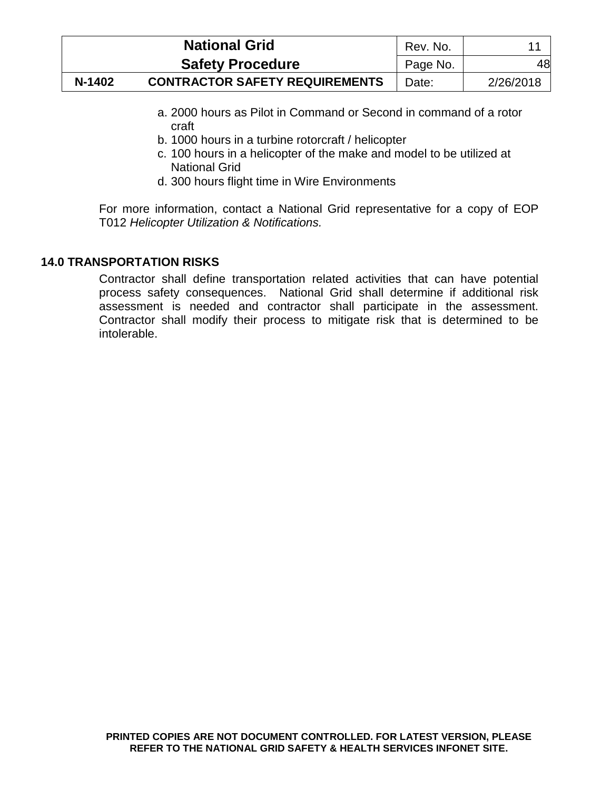|        | <b>National Grid</b>                  | Rev. No. |           |
|--------|---------------------------------------|----------|-----------|
|        | <b>Safety Procedure</b>               | Page No. | 48        |
| N-1402 | <b>CONTRACTOR SAFETY REQUIREMENTS</b> | Date:    | 2/26/2018 |

- a. 2000 hours as Pilot in Command or Second in command of a rotor craft
- b. 1000 hours in a turbine rotorcraft / helicopter
- c. 100 hours in a helicopter of the make and model to be utilized at National Grid
- d. 300 hours flight time in Wire Environments

For more information, contact a National Grid representative for a copy of EOP T012 *Helicopter Utilization & Notifications.*

# <span id="page-52-0"></span>**14.0 TRANSPORTATION RISKS**

Contractor shall define transportation related activities that can have potential process safety consequences. National Grid shall determine if additional risk assessment is needed and contractor shall participate in the assessment. Contractor shall modify their process to mitigate risk that is determined to be intolerable.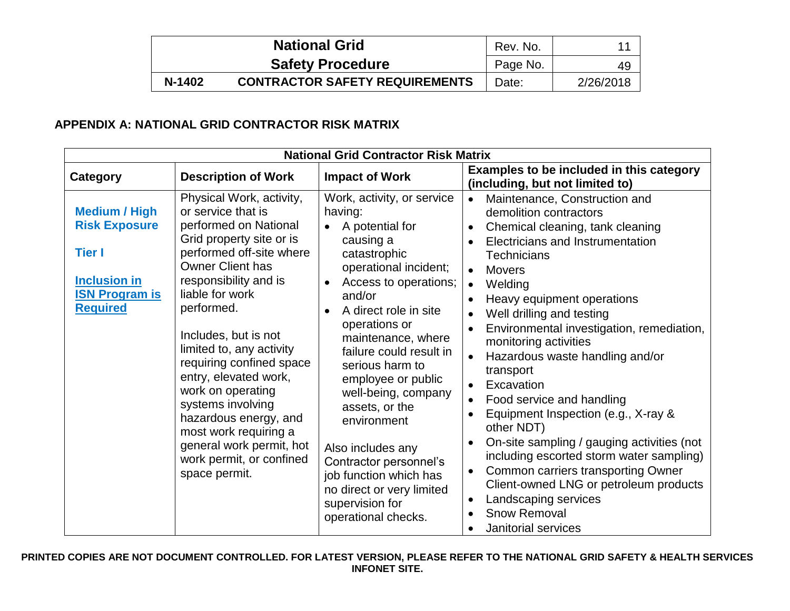|        | <b>National Grid</b>                  | Rev. No. |           |
|--------|---------------------------------------|----------|-----------|
|        | <b>Safety Procedure</b>               | Page No. | 49        |
| N-1402 | <b>CONTRACTOR SAFETY REQUIREMENTS</b> | Date:    | 2/26/2018 |

# **APPENDIX A: NATIONAL GRID CONTRACTOR RISK MATRIX**

<span id="page-53-0"></span>

| <b>National Grid Contractor Risk Matrix</b>                                                                                      |                                                                                                                                                                                                                                                                                                                                                                                                                                                                                                    |                                                                                                                                                                                                                                                                                                                                                                                                                                                                                                            |                                                                                                                                                                                                                                                                                                                                                                                                                                                                                                                                                                                                                                                                                                                                                                                                    |  |  |  |  |
|----------------------------------------------------------------------------------------------------------------------------------|----------------------------------------------------------------------------------------------------------------------------------------------------------------------------------------------------------------------------------------------------------------------------------------------------------------------------------------------------------------------------------------------------------------------------------------------------------------------------------------------------|------------------------------------------------------------------------------------------------------------------------------------------------------------------------------------------------------------------------------------------------------------------------------------------------------------------------------------------------------------------------------------------------------------------------------------------------------------------------------------------------------------|----------------------------------------------------------------------------------------------------------------------------------------------------------------------------------------------------------------------------------------------------------------------------------------------------------------------------------------------------------------------------------------------------------------------------------------------------------------------------------------------------------------------------------------------------------------------------------------------------------------------------------------------------------------------------------------------------------------------------------------------------------------------------------------------------|--|--|--|--|
| Category                                                                                                                         | <b>Description of Work</b>                                                                                                                                                                                                                                                                                                                                                                                                                                                                         | <b>Impact of Work</b>                                                                                                                                                                                                                                                                                                                                                                                                                                                                                      | Examples to be included in this category<br>(including, but not limited to)                                                                                                                                                                                                                                                                                                                                                                                                                                                                                                                                                                                                                                                                                                                        |  |  |  |  |
| <b>Medium / High</b><br><b>Risk Exposure</b><br><b>Tier I</b><br><b>Inclusion in</b><br><b>ISN Program is</b><br><b>Required</b> | Physical Work, activity,<br>or service that is<br>performed on National<br>Grid property site or is<br>performed off-site where<br><b>Owner Client has</b><br>responsibility and is<br>liable for work<br>performed.<br>Includes, but is not<br>limited to, any activity<br>requiring confined space<br>entry, elevated work,<br>work on operating<br>systems involving<br>hazardous energy, and<br>most work requiring a<br>general work permit, hot<br>work permit, or confined<br>space permit. | Work, activity, or service<br>having:<br>A potential for<br>causing a<br>catastrophic<br>operational incident;<br>Access to operations;<br>$\bullet$<br>and/or<br>A direct role in site<br>operations or<br>maintenance, where<br>failure could result in<br>serious harm to<br>employee or public<br>well-being, company<br>assets, or the<br>environment<br>Also includes any<br>Contractor personnel's<br>job function which has<br>no direct or very limited<br>supervision for<br>operational checks. | Maintenance, Construction and<br>demolition contractors<br>Chemical cleaning, tank cleaning<br>$\bullet$<br>Electricians and Instrumentation<br><b>Technicians</b><br><b>Movers</b><br>$\bullet$<br>Welding<br>$\bullet$<br>Heavy equipment operations<br>Well drilling and testing<br>$\bullet$<br>Environmental investigation, remediation,<br>monitoring activities<br>Hazardous waste handling and/or<br>transport<br>• Excavation<br>Food service and handling<br>Equipment Inspection (e.g., X-ray &<br>other NDT)<br>On-site sampling / gauging activities (not<br>including escorted storm water sampling)<br>Common carriers transporting Owner<br>$\bullet$<br>Client-owned LNG or petroleum products<br>Landscaping services<br>$\bullet$<br><b>Snow Removal</b><br>Janitorial services |  |  |  |  |